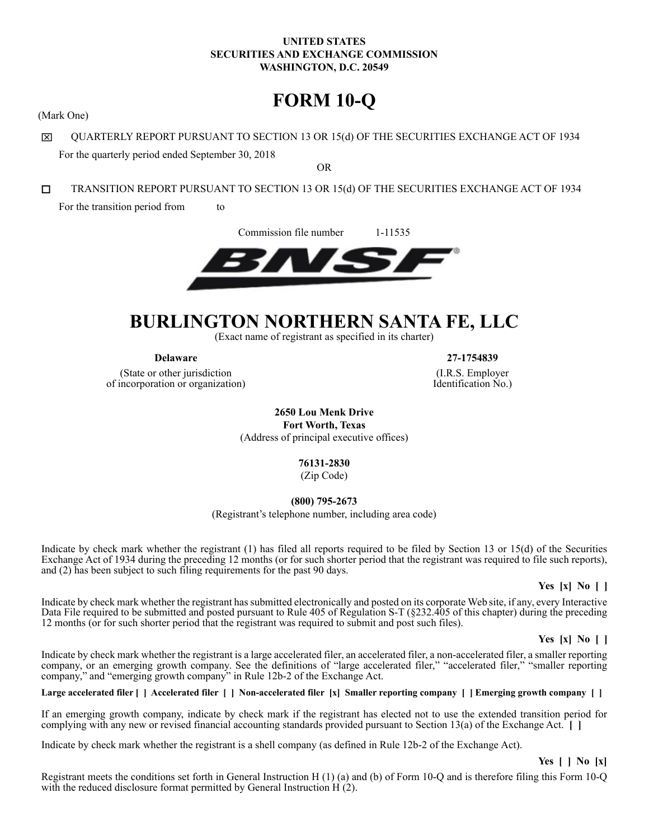## **UNITED STATES SECURITIES AND EXCHANGE COMMISSION WASHINGTON, D.C. 20549**

# **FORM 10-Q**

(Mark One)

QUARTERLY REPORT PURSUANT TO SECTION 13 OR 15(d) OF THE SECURITIES EXCHANGE ACT OF 1934 区 For the quarterly period ended September 30, 2018

OR

 $\Box$ TRANSITION REPORT PURSUANT TO SECTION 13 OR 15(d) OF THE SECURITIES EXCHANGE ACT OF 1934 For the transition period from to

Commission file number 1-11535



# **BURLINGTON NORTHERN SANTA FE, LLC**

(Exact name of registrant as specified in its charter)

**Delaware 27-1754839**

(State or other jurisdiction of incorporation or organization)

(I.R.S. Employer Identification No.)

**2650 Lou Menk Drive Fort Worth, Texas** (Address of principal executive offices)

**76131-2830**

(Zip Code)

**(800) 795-2673**

(Registrant's telephone number, including area code)

Indicate by check mark whether the registrant (1) has filed all reports required to be filed by Section 13 or 15(d) of the Securities Exchange Act of 1934 during the preceding 12 months (or for such shorter period that the registrant was required to file such reports), and (2) has been subject to such filing requirements for the past 90 days.

**Yes [x] No [ ]**

Indicate by check mark whether the registrant has submitted electronically and posted on its corporate Web site, if any, every Interactive Data File required to be submitted and posted pursuant to Rule 405 of Regulation S-T (§232.405 of this chapter) during the preceding 12 months (or for such shorter period that the registrant was required to submit and post such files).

**Yes [x] No [ ]**

Indicate by check mark whether the registrant is a large accelerated filer, an accelerated filer, a non-accelerated filer, a smaller reporting company, or an emerging growth company. See the definitions of "large accelerated filer," "accelerated filer," "smaller reporting company," and "emerging growth company" in Rule 12b-2 of the Exchange Act.

**Large accelerated filer [ ] Accelerated filer [ ] Non-accelerated filer [x] Smaller reporting company [ ] Emerging growth company [ ]**

If an emerging growth company, indicate by check mark if the registrant has elected not to use the extended transition period for complying with any new or revised financial accounting standards provided pursuant to Section 13(a) of the Exchange Act. **[ ]**

Indicate by check mark whether the registrant is a shell company (as defined in Rule 12b-2 of the Exchange Act).

**Yes [ ] No [x]**

Registrant meets the conditions set forth in General Instruction H (1) (a) and (b) of Form 10-Q and is therefore filing this Form 10-Q with the reduced disclosure format permitted by General Instruction  $\hat{H}(2)$ .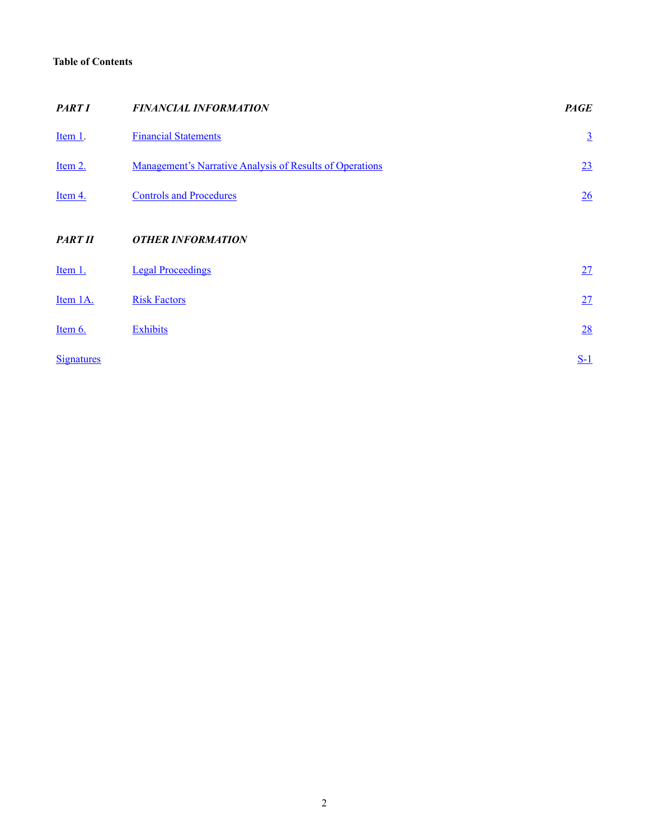# <span id="page-1-0"></span>**Table of Contents**

| <b>PART I</b>     | <b>FINANCIAL INFORMATION</b>                             | <b>PAGE</b>     |
|-------------------|----------------------------------------------------------|-----------------|
| Item 1.           | <b>Financial Statements</b>                              | $\underline{3}$ |
| Item 2.           | Management's Narrative Analysis of Results of Operations | 23              |
| Item 4.           | <b>Controls and Procedures</b>                           | 26              |
|                   |                                                          |                 |
| <b>PART II</b>    | <b>OTHER INFORMATION</b>                                 |                 |
| Item 1.           | <b>Legal Proceedings</b>                                 | 27              |
| Item 1A.          | <b>Risk Factors</b>                                      | 27              |
| Item 6.           | <b>Exhibits</b>                                          | 28              |
| <b>Signatures</b> |                                                          | $S-1$           |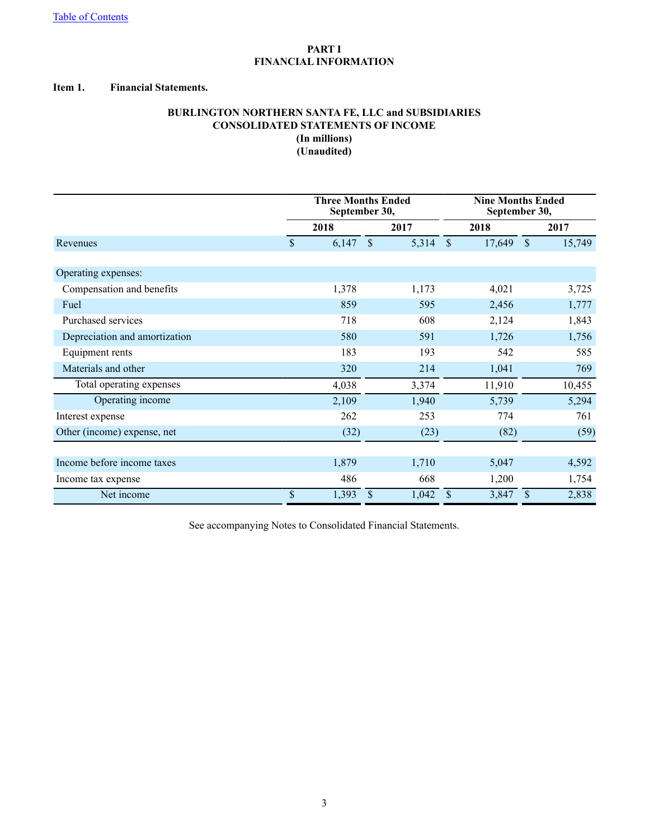# **PART I FINANCIAL INFORMATION**

## <span id="page-2-0"></span>**Item 1. Financial Statements.**

# **BURLINGTON NORTHERN SANTA FE, LLC and SUBSIDIARIES CONSOLIDATED STATEMENTS OF INCOME (In millions) (Unaudited)**

|                               |     | <b>Three Months Ended</b><br>September 30, |               | <b>Nine Months Ended</b><br>September 30, |               |        |               |        |
|-------------------------------|-----|--------------------------------------------|---------------|-------------------------------------------|---------------|--------|---------------|--------|
|                               |     | 2018                                       |               | 2017                                      |               | 2018   |               | 2017   |
| Revenues                      | \$. | 6,147                                      | $\mathbb{S}$  | 5,314                                     | <sup>S</sup>  | 17,649 | $\mathcal{S}$ | 15,749 |
|                               |     |                                            |               |                                           |               |        |               |        |
| Operating expenses:           |     |                                            |               |                                           |               |        |               |        |
| Compensation and benefits     |     | 1,378                                      |               | 1,173                                     |               | 4,021  |               | 3,725  |
| Fuel                          |     | 859                                        |               | 595                                       |               | 2,456  |               | 1,777  |
| Purchased services            |     | 718                                        |               | 608                                       |               | 2,124  |               | 1,843  |
| Depreciation and amortization |     | 580                                        |               | 591                                       |               | 1,726  |               | 1,756  |
| Equipment rents               |     | 183                                        |               | 193                                       |               | 542    |               | 585    |
| Materials and other           |     | 320                                        |               | 214                                       |               | 1,041  |               | 769    |
| Total operating expenses      |     | 4,038                                      |               | 3,374                                     |               | 11,910 |               | 10,455 |
| Operating income              |     | 2,109                                      |               | 1,940                                     |               | 5,739  |               | 5,294  |
| Interest expense              |     | 262                                        |               | 253                                       |               | 774    |               | 761    |
| Other (income) expense, net   |     | (32)                                       |               | (23)                                      |               | (82)   |               | (59)   |
|                               |     |                                            |               |                                           |               |        |               |        |
| Income before income taxes    |     | 1,879                                      |               | 1,710                                     |               | 5,047  |               | 4,592  |
| Income tax expense            |     | 486                                        |               | 668                                       |               | 1,200  |               | 1,754  |
| Net income                    | \$  | 1,393                                      | $\mathcal{S}$ | 1,042                                     | $\mathcal{S}$ | 3,847  | $\mathbb{S}$  | 2,838  |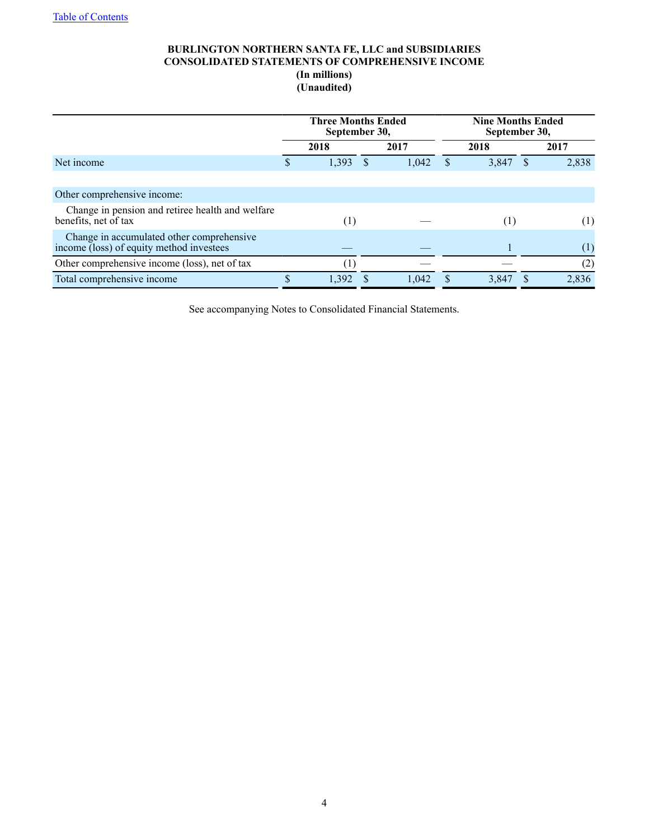# **BURLINGTON NORTHERN SANTA FE, LLC and SUBSIDIARIES CONSOLIDATED STATEMENTS OF COMPREHENSIVE INCOME (In millions) (Unaudited)**

|                                                                                       |    | <b>Three Months Ended</b><br>September 30, |   |       | <b>Nine Months Ended</b><br>September 30, |       |   |       |  |  |
|---------------------------------------------------------------------------------------|----|--------------------------------------------|---|-------|-------------------------------------------|-------|---|-------|--|--|
|                                                                                       |    | 2018                                       |   | 2017  |                                           | 2018  |   | 2017  |  |  |
| Net income                                                                            | S  | 1,393                                      | S | 1,042 | \$.                                       | 3,847 | S | 2,838 |  |  |
|                                                                                       |    |                                            |   |       |                                           |       |   |       |  |  |
| Other comprehensive income:                                                           |    |                                            |   |       |                                           |       |   |       |  |  |
| Change in pension and retiree health and welfare<br>benefits, net of tax              |    | (1)                                        |   |       |                                           | (1)   |   | (1)   |  |  |
| Change in accumulated other comprehensive<br>income (loss) of equity method investees |    |                                            |   |       |                                           |       |   | (1)   |  |  |
| Other comprehensive income (loss), net of tax                                         |    | $\left(1\right)$                           |   |       |                                           |       |   | (2)   |  |  |
| Total comprehensive income                                                            | \$ | 1,392                                      |   | 1.042 |                                           | 3.847 |   | 2,836 |  |  |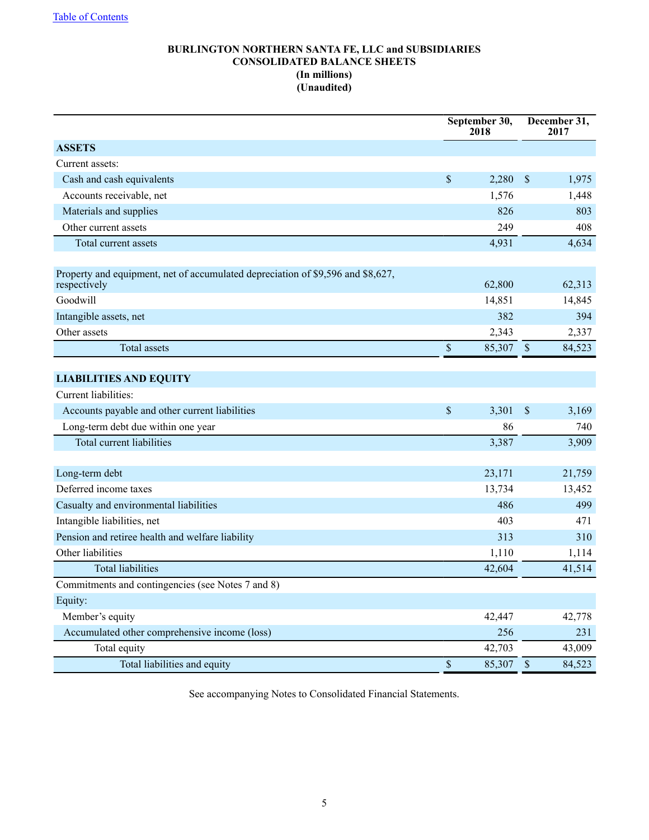# **BURLINGTON NORTHERN SANTA FE, LLC and SUBSIDIARIES CONSOLIDATED BALANCE SHEETS (In millions) (Unaudited)**

|                                                                                                 |             | September 30,<br>2018 |                           | December 31,<br>2017 |
|-------------------------------------------------------------------------------------------------|-------------|-----------------------|---------------------------|----------------------|
| <b>ASSETS</b>                                                                                   |             |                       |                           |                      |
| Current assets:                                                                                 |             |                       |                           |                      |
| Cash and cash equivalents                                                                       | \$          | 2,280                 | $\boldsymbol{\mathsf{S}}$ | 1,975                |
| Accounts receivable, net                                                                        |             | 1,576                 |                           | 1,448                |
| Materials and supplies                                                                          |             | 826                   |                           | 803                  |
| Other current assets                                                                            |             | 249                   |                           | 408                  |
| Total current assets                                                                            |             | 4,931                 |                           | 4,634                |
|                                                                                                 |             |                       |                           |                      |
| Property and equipment, net of accumulated depreciation of \$9,596 and \$8,627,<br>respectively |             | 62,800                |                           | 62,313               |
| Goodwill                                                                                        |             | 14,851                |                           | 14,845               |
| Intangible assets, net                                                                          |             | 382                   |                           | 394                  |
| Other assets                                                                                    |             | 2,343                 |                           | 2,337                |
| <b>Total assets</b>                                                                             | \$          | 85,307                | $\boldsymbol{\mathsf{S}}$ | 84,523               |
|                                                                                                 |             |                       |                           |                      |
| <b>LIABILITIES AND EQUITY</b>                                                                   |             |                       |                           |                      |
| Current liabilities:                                                                            |             |                       |                           |                      |
| Accounts payable and other current liabilities                                                  | \$          | 3,301                 | \$                        | 3,169                |
| Long-term debt due within one year                                                              |             | 86                    |                           | 740                  |
| Total current liabilities                                                                       |             | 3,387                 |                           | 3,909                |
|                                                                                                 |             |                       |                           |                      |
| Long-term debt                                                                                  |             | 23,171                |                           | 21,759               |
| Deferred income taxes                                                                           |             | 13,734                |                           | 13,452               |
| Casualty and environmental liabilities                                                          |             | 486                   |                           | 499                  |
| Intangible liabilities, net                                                                     |             | 403                   |                           | 471                  |
| Pension and retiree health and welfare liability                                                |             | 313                   |                           | 310                  |
| Other liabilities                                                                               |             | 1,110                 |                           | 1,114                |
| <b>Total liabilities</b>                                                                        |             | 42,604                |                           | 41,514               |
| Commitments and contingencies (see Notes 7 and 8)                                               |             |                       |                           |                      |
| Equity:                                                                                         |             |                       |                           |                      |
| Member's equity                                                                                 |             | 42,447                |                           | 42,778               |
| Accumulated other comprehensive income (loss)                                                   |             | 256                   |                           | 231                  |
| Total equity                                                                                    |             | 42,703                |                           | 43,009               |
| Total liabilities and equity                                                                    | $\mathbb S$ | 85,307                | $\mathbb S$               | 84,523               |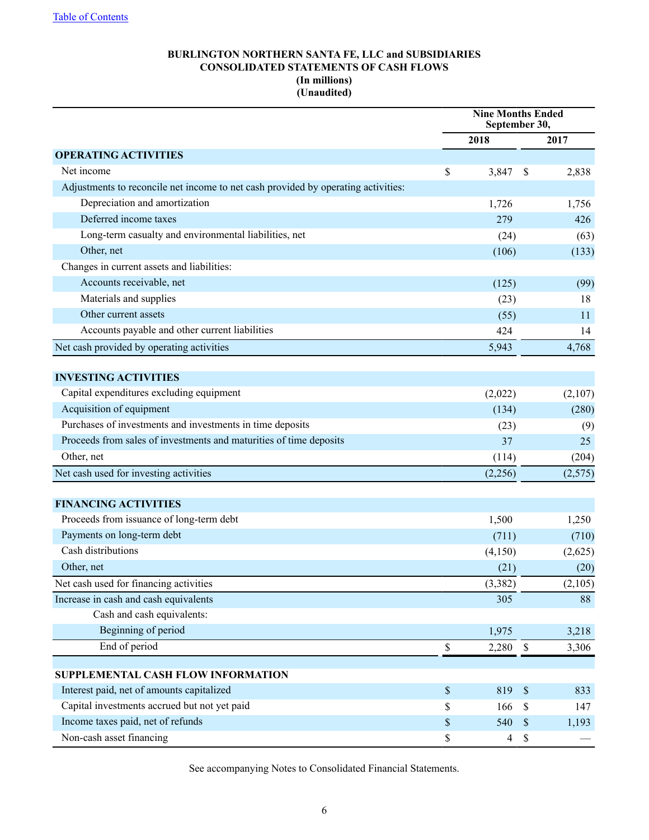# **BURLINGTON NORTHERN SANTA FE, LLC and SUBSIDIARIES CONSOLIDATED STATEMENTS OF CASH FLOWS (In millions) (Unaudited)**

|                                                                                   |      | <b>Nine Months Ended</b><br>September 30, |              |         |
|-----------------------------------------------------------------------------------|------|-------------------------------------------|--------------|---------|
|                                                                                   |      | 2018                                      |              | 2017    |
| <b>OPERATING ACTIVITIES</b>                                                       |      |                                           |              |         |
| Net income                                                                        | \$   | 3,847                                     | \$           | 2,838   |
| Adjustments to reconcile net income to net cash provided by operating activities: |      |                                           |              |         |
| Depreciation and amortization                                                     |      | 1,726                                     |              | 1,756   |
| Deferred income taxes                                                             |      | 279                                       |              | 426     |
| Long-term casualty and environmental liabilities, net                             |      | (24)                                      |              | (63)    |
| Other, net                                                                        |      | (106)                                     |              | (133)   |
| Changes in current assets and liabilities:                                        |      |                                           |              |         |
| Accounts receivable, net                                                          |      | (125)                                     |              | (99)    |
| Materials and supplies                                                            |      | (23)                                      |              | 18      |
| Other current assets                                                              |      | (55)                                      |              | 11      |
| Accounts payable and other current liabilities                                    |      | 424                                       |              | 14      |
| Net cash provided by operating activities                                         |      | 5,943                                     |              | 4,768   |
|                                                                                   |      |                                           |              |         |
| <b>INVESTING ACTIVITIES</b>                                                       |      |                                           |              |         |
| Capital expenditures excluding equipment                                          |      | (2,022)                                   |              | (2,107) |
| Acquisition of equipment                                                          |      | (134)                                     |              | (280)   |
| Purchases of investments and investments in time deposits                         |      | (23)                                      |              | (9)     |
| Proceeds from sales of investments and maturities of time deposits                |      | 37                                        |              | 25      |
| Other, net                                                                        |      | (114)                                     |              | (204)   |
| Net cash used for investing activities                                            |      | (2,256)                                   |              | (2,575) |
|                                                                                   |      |                                           |              |         |
| <b>FINANCING ACTIVITIES</b>                                                       |      |                                           |              |         |
| Proceeds from issuance of long-term debt                                          |      | 1,500                                     |              | 1,250   |
| Payments on long-term debt                                                        |      | (711)                                     |              | (710)   |
| Cash distributions                                                                |      | (4,150)                                   |              | (2,625) |
| Other, net                                                                        |      | (21)                                      |              | (20)    |
| Net cash used for financing activities                                            |      | (3, 382)                                  |              | (2,105) |
| Increase in cash and cash equivalents                                             |      | 305                                       |              | 88      |
| Cash and cash equivalents:                                                        |      |                                           |              |         |
| Beginning of period                                                               |      | 1,975                                     |              | 3,218   |
| End of period                                                                     | \$   | 2,280                                     | \$           | 3,306   |
|                                                                                   |      |                                           |              |         |
| SUPPLEMENTAL CASH FLOW INFORMATION                                                |      |                                           |              |         |
| Interest paid, net of amounts capitalized                                         | $\$$ | 819                                       | $\mathbb{S}$ | 833     |
| Capital investments accrued but not yet paid                                      | \$   | 166                                       | \$           | 147     |
| Income taxes paid, net of refunds                                                 | \$   | 540                                       | $\mathbb{S}$ | 1,193   |
| Non-cash asset financing                                                          | \$   | $\overline{4}$                            | \$           |         |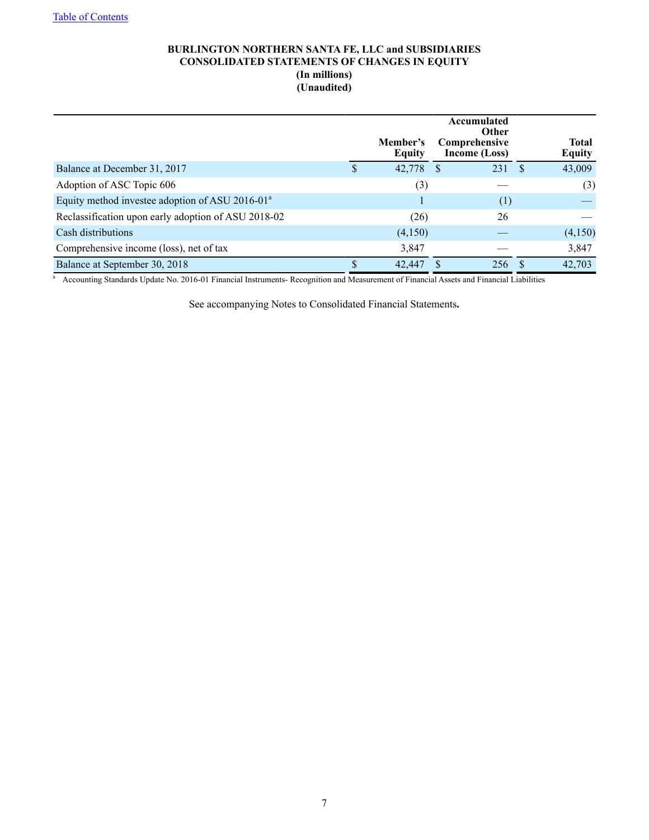# **BURLINGTON NORTHERN SANTA FE, LLC and SUBSIDIARIES CONSOLIDATED STATEMENTS OF CHANGES IN EQUITY (In millions) (Unaudited)**

|                                                             | Member's<br><b>Equity</b> | Accumulated<br><b>Other</b><br>Comprehensive<br>Income (Loss) |   | <b>Total</b><br><b>Equity</b> |
|-------------------------------------------------------------|---------------------------|---------------------------------------------------------------|---|-------------------------------|
| Balance at December 31, 2017                                | 42,778                    | 231                                                           | S | 43,009                        |
| Adoption of ASC Topic 606                                   | (3)                       |                                                               |   | (3)                           |
| Equity method investee adoption of ASU 2016-01 <sup>a</sup> |                           | (1)                                                           |   |                               |
| Reclassification upon early adoption of ASU 2018-02         | (26)                      | 26                                                            |   |                               |
| Cash distributions                                          | (4,150)                   |                                                               |   | (4,150)                       |
| Comprehensive income (loss), net of tax                     | 3,847                     |                                                               |   | 3,847                         |
| Balance at September 30, 2018                               | 42,447                    | 256                                                           |   | 42,703                        |

<sup>a</sup> Accounting Standards Update No. 2016-01 Financial Instruments- Recognition and Measurement of Financial Assets and Financial Liabilities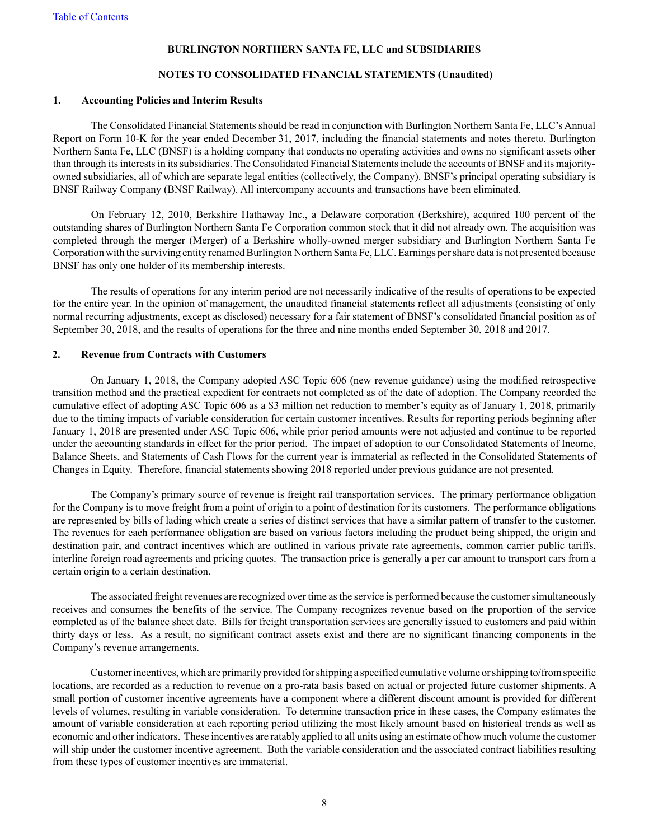#### **NOTES TO CONSOLIDATED FINANCIAL STATEMENTS (Unaudited)**

#### **1. Accounting Policies and Interim Results**

 The Consolidated Financial Statements should be read in conjunction with Burlington Northern Santa Fe, LLC's Annual Report on Form 10-K for the year ended December 31, 2017, including the financial statements and notes thereto. Burlington Northern Santa Fe, LLC (BNSF) is a holding company that conducts no operating activities and owns no significant assets other than through its interests in its subsidiaries. The Consolidated Financial Statements include the accounts of BNSF and its majorityowned subsidiaries, all of which are separate legal entities (collectively, the Company). BNSF's principal operating subsidiary is BNSF Railway Company (BNSF Railway). All intercompany accounts and transactions have been eliminated.

 On February 12, 2010, Berkshire Hathaway Inc., a Delaware corporation (Berkshire), acquired 100 percent of the outstanding shares of Burlington Northern Santa Fe Corporation common stock that it did not already own. The acquisition was completed through the merger (Merger) of a Berkshire wholly-owned merger subsidiary and Burlington Northern Santa Fe Corporation with the surviving entity renamed Burlington Northern Santa Fe, LLC. Earnings per share data is not presented because BNSF has only one holder of its membership interests.

 The results of operations for any interim period are not necessarily indicative of the results of operations to be expected for the entire year. In the opinion of management, the unaudited financial statements reflect all adjustments (consisting of only normal recurring adjustments, except as disclosed) necessary for a fair statement of BNSF's consolidated financial position as of September 30, 2018, and the results of operations for the three and nine months ended September 30, 2018 and 2017.

#### **2. Revenue from Contracts with Customers**

 On January 1, 2018, the Company adopted ASC Topic 606 (new revenue guidance) using the modified retrospective transition method and the practical expedient for contracts not completed as of the date of adoption. The Company recorded the cumulative effect of adopting ASC Topic 606 as a \$3 million net reduction to member's equity as of January 1, 2018, primarily due to the timing impacts of variable consideration for certain customer incentives. Results for reporting periods beginning after January 1, 2018 are presented under ASC Topic 606, while prior period amounts were not adjusted and continue to be reported under the accounting standards in effect for the prior period. The impact of adoption to our Consolidated Statements of Income, Balance Sheets, and Statements of Cash Flows for the current year is immaterial as reflected in the Consolidated Statements of Changes in Equity. Therefore, financial statements showing 2018 reported under previous guidance are not presented.

 The Company's primary source of revenue is freight rail transportation services. The primary performance obligation for the Company is to move freight from a point of origin to a point of destination for its customers. The performance obligations are represented by bills of lading which create a series of distinct services that have a similar pattern of transfer to the customer. The revenues for each performance obligation are based on various factors including the product being shipped, the origin and destination pair, and contract incentives which are outlined in various private rate agreements, common carrier public tariffs, interline foreign road agreements and pricing quotes. The transaction price is generally a per car amount to transport cars from a certain origin to a certain destination.

 The associated freight revenues are recognized over time as the service is performed because the customer simultaneously receives and consumes the benefits of the service. The Company recognizes revenue based on the proportion of the service completed as of the balance sheet date. Bills for freight transportation services are generally issued to customers and paid within thirty days or less. As a result, no significant contract assets exist and there are no significant financing components in the Company's revenue arrangements.

 Customer incentives, which are primarily provided for shipping a specified cumulative volume or shipping to/from specific locations, are recorded as a reduction to revenue on a pro-rata basis based on actual or projected future customer shipments. A small portion of customer incentive agreements have a component where a different discount amount is provided for different levels of volumes, resulting in variable consideration. To determine transaction price in these cases, the Company estimates the amount of variable consideration at each reporting period utilizing the most likely amount based on historical trends as well as economic and other indicators. These incentives are ratably applied to all units using an estimate of how much volume the customer will ship under the customer incentive agreement. Both the variable consideration and the associated contract liabilities resulting from these types of customer incentives are immaterial.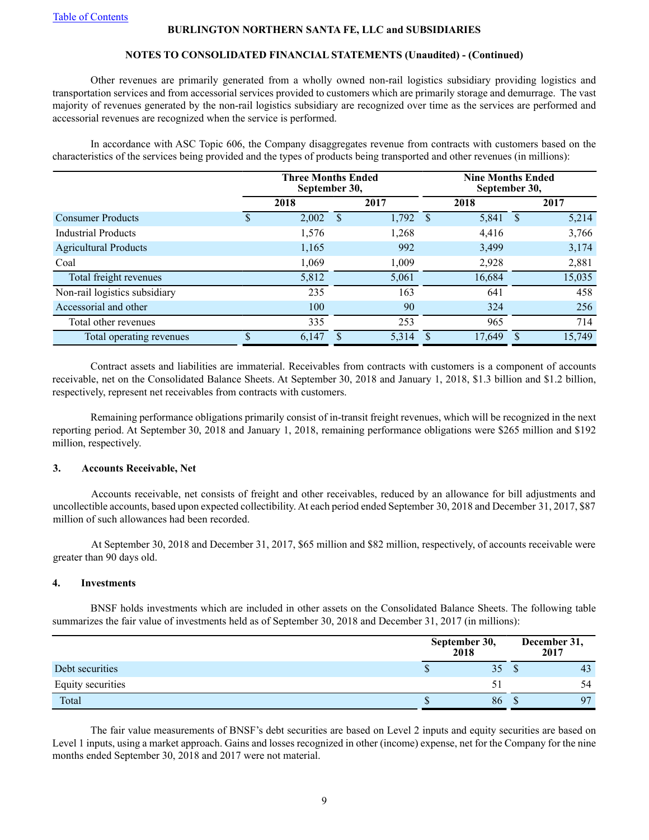## **NOTES TO CONSOLIDATED FINANCIAL STATEMENTS (Unaudited) - (Continued)**

 Other revenues are primarily generated from a wholly owned non-rail logistics subsidiary providing logistics and transportation services and from accessorial services provided to customers which are primarily storage and demurrage. The vast majority of revenues generated by the non-rail logistics subsidiary are recognized over time as the services are performed and accessorial revenues are recognized when the service is performed.

 In accordance with ASC Topic 606, the Company disaggregates revenue from contracts with customers based on the characteristics of the services being provided and the types of products being transported and other revenues (in millions):

|                               |   | <b>Three Months Ended</b><br>September 30, |   |       | <b>Nine Months Ended</b><br>September 30, |        |     |        |  |
|-------------------------------|---|--------------------------------------------|---|-------|-------------------------------------------|--------|-----|--------|--|
|                               |   | 2018                                       |   | 2017  |                                           | 2018   |     | 2017   |  |
| <b>Consumer Products</b>      |   | 2,002                                      | S | 1,792 | -S                                        | 5,841  | -S  | 5,214  |  |
| Industrial Products           |   | 1,576                                      |   | 1,268 |                                           | 4,416  |     | 3,766  |  |
| <b>Agricultural Products</b>  |   | 1,165                                      |   | 992   |                                           | 3,499  |     | 3,174  |  |
| Coal                          |   | 1,069                                      |   | 1,009 |                                           | 2,928  |     | 2,881  |  |
| Total freight revenues        |   | 5,812                                      |   | 5,061 |                                           | 16,684 |     | 15,035 |  |
| Non-rail logistics subsidiary |   | 235                                        |   | 163   |                                           | 641    |     | 458    |  |
| Accessorial and other         |   | 100                                        |   | 90    |                                           | 324    |     | 256    |  |
| Total other revenues          |   | 335                                        |   | 253   |                                           | 965    |     | 714    |  |
| Total operating revenues      | S | 6,147                                      | S | 5,314 | <sup>\$</sup>                             | 17,649 | \$. | 15,749 |  |

 Contract assets and liabilities are immaterial. Receivables from contracts with customers is a component of accounts receivable, net on the Consolidated Balance Sheets. At September 30, 2018 and January 1, 2018, \$1.3 billion and \$1.2 billion, respectively, represent net receivables from contracts with customers.

 Remaining performance obligations primarily consist of in-transit freight revenues, which will be recognized in the next reporting period. At September 30, 2018 and January 1, 2018, remaining performance obligations were \$265 million and \$192 million, respectively.

#### **3. Accounts Receivable, Net**

 Accounts receivable, net consists of freight and other receivables, reduced by an allowance for bill adjustments and uncollectible accounts, based upon expected collectibility. At each period ended September 30, 2018 and December 31, 2017, \$87 million of such allowances had been recorded.

 At September 30, 2018 and December 31, 2017, \$65 million and \$82 million, respectively, of accounts receivable were greater than 90 days old.

#### **4. Investments**

 BNSF holds investments which are included in other assets on the Consolidated Balance Sheets. The following table summarizes the fair value of investments held as of September 30, 2018 and December 31, 2017 (in millions):

|                   | September 30,<br>2018 | December 31,<br>2017 |
|-------------------|-----------------------|----------------------|
| Debt securities   | 35                    | 43                   |
| Equity securities |                       | 54                   |
| Total             | 86                    | 07                   |

 The fair value measurements of BNSF's debt securities are based on Level 2 inputs and equity securities are based on Level 1 inputs, using a market approach. Gains and losses recognized in other (income) expense, net for the Company for the nine months ended September 30, 2018 and 2017 were not material.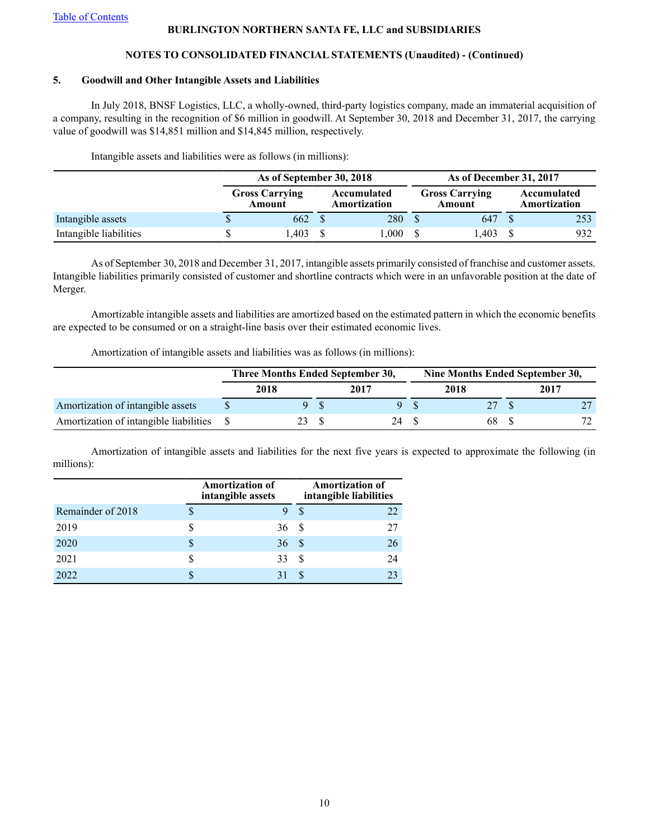# **NOTES TO CONSOLIDATED FINANCIAL STATEMENTS (Unaudited) - (Continued)**

## **5. Goodwill and Other Intangible Assets and Liabilities**

 In July 2018, BNSF Logistics, LLC, a wholly-owned, third-party logistics company, made an immaterial acquisition of a company, resulting in the recognition of \$6 million in goodwill. At September 30, 2018 and December 31, 2017, the carrying value of goodwill was \$14,851 million and \$14,845 million, respectively.

Intangible assets and liabilities were as follows (in millions):

|                        |                                                                | As of September 30, 2018 |                                 |                             | As of December 31, 2017 |     |  |
|------------------------|----------------------------------------------------------------|--------------------------|---------------------------------|-----------------------------|-------------------------|-----|--|
|                        | <b>Gross Carrying</b><br>Accumulated<br>Amortization<br>Amount |                          | <b>Gross Carrying</b><br>Amount | Accumulated<br>Amortization |                         |     |  |
| Intangible assets      |                                                                | 662                      | 280                             | 647                         |                         | 253 |  |
| Intangible liabilities |                                                                | 1.403 \$                 | 1.000                           | L <sub>403</sub>            |                         | 932 |  |

 As of September 30, 2018 and December 31, 2017, intangible assets primarily consisted of franchise and customer assets. Intangible liabilities primarily consisted of customer and shortline contracts which were in an unfavorable position at the date of Merger.

 Amortizable intangible assets and liabilities are amortized based on the estimated pattern in which the economic benefits are expected to be consumed or on a straight-line basis over their estimated economic lives.

Amortization of intangible assets and liabilities was as follows (in millions):

|                                        | Three Months Ended September 30, |      |      | Nine Months Ended September 30, |      |  |
|----------------------------------------|----------------------------------|------|------|---------------------------------|------|--|
|                                        | 2018                             | 2017 | 2018 |                                 | 2017 |  |
| Amortization of intangible assets      |                                  |      |      |                                 |      |  |
| Amortization of intangible liabilities | 23                               | 24   | 68   |                                 |      |  |

 Amortization of intangible assets and liabilities for the next five years is expected to approximate the following (in millions):

|                   | <b>Amortization of</b><br>intangible assets |     | <b>Amortization of</b><br>intangible liabilities |
|-------------------|---------------------------------------------|-----|--------------------------------------------------|
| Remainder of 2018 |                                             |     |                                                  |
| 2019              | 36                                          | -S  | 27                                               |
| 2020              | 36                                          | -8  | 26                                               |
| 2021              | 33                                          | \$. | 24                                               |
| 2022              |                                             |     | フィ                                               |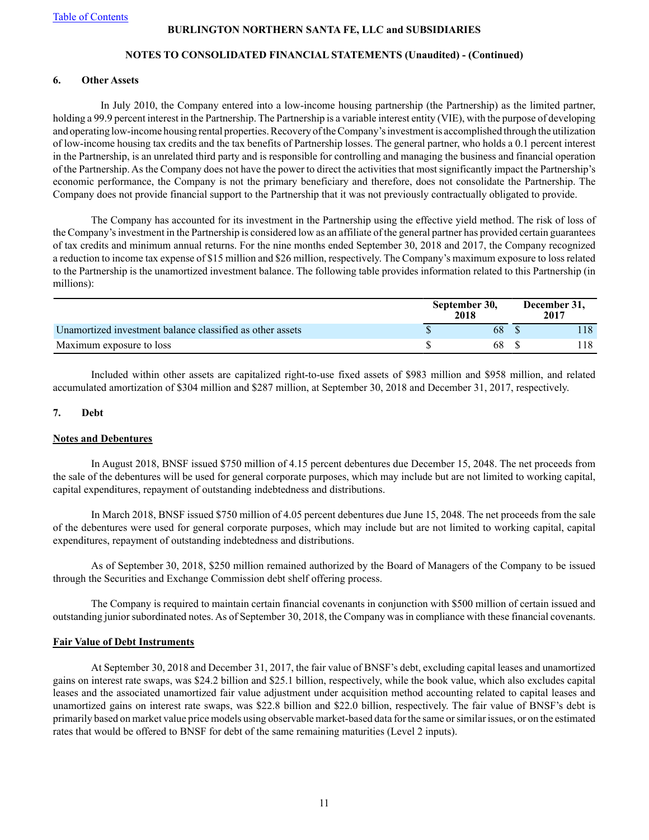# **NOTES TO CONSOLIDATED FINANCIAL STATEMENTS (Unaudited) - (Continued)**

#### **6. Other Assets**

 In July 2010, the Company entered into a low-income housing partnership (the Partnership) as the limited partner, holding a 99.9 percent interest in the Partnership. The Partnership is a variable interest entity (VIE), with the purpose of developing and operating low-income housing rental properties. Recovery of the Company's investment is accomplished through the utilization of low-income housing tax credits and the tax benefits of Partnership losses. The general partner, who holds a 0.1 percent interest in the Partnership, is an unrelated third party and is responsible for controlling and managing the business and financial operation of the Partnership. As the Company does not have the power to direct the activities that most significantly impact the Partnership's economic performance, the Company is not the primary beneficiary and therefore, does not consolidate the Partnership. The Company does not provide financial support to the Partnership that it was not previously contractually obligated to provide.

 The Company has accounted for its investment in the Partnership using the effective yield method. The risk of loss of the Company's investment in the Partnership is considered low as an affiliate of the general partner has provided certain guarantees of tax credits and minimum annual returns. For the nine months ended September 30, 2018 and 2017, the Company recognized a reduction to income tax expense of \$15 million and \$26 million, respectively. The Company's maximum exposure to loss related to the Partnership is the unamortized investment balance. The following table provides information related to this Partnership (in millions):

|                                                           | September 30,<br>2018 |    |  | December 31,<br>2017 |
|-----------------------------------------------------------|-----------------------|----|--|----------------------|
| Unamortized investment balance classified as other assets |                       | 68 |  | 118                  |
| Maximum exposure to loss                                  |                       | 68 |  | 118                  |

 Included within other assets are capitalized right-to-use fixed assets of \$983 million and \$958 million, and related accumulated amortization of \$304 million and \$287 million, at September 30, 2018 and December 31, 2017, respectively.

#### **7. Debt**

## **Notes and Debentures**

 In August 2018, BNSF issued \$750 million of 4.15 percent debentures due December 15, 2048. The net proceeds from the sale of the debentures will be used for general corporate purposes, which may include but are not limited to working capital, capital expenditures, repayment of outstanding indebtedness and distributions.

 In March 2018, BNSF issued \$750 million of 4.05 percent debentures due June 15, 2048. The net proceeds from the sale of the debentures were used for general corporate purposes, which may include but are not limited to working capital, capital expenditures, repayment of outstanding indebtedness and distributions.

 As of September 30, 2018, \$250 million remained authorized by the Board of Managers of the Company to be issued through the Securities and Exchange Commission debt shelf offering process.

 The Company is required to maintain certain financial covenants in conjunction with \$500 million of certain issued and outstanding junior subordinated notes. As of September 30, 2018, the Company was in compliance with these financial covenants.

## **Fair Value of Debt Instruments**

 At September 30, 2018 and December 31, 2017, the fair value of BNSF's debt, excluding capital leases and unamortized gains on interest rate swaps, was \$24.2 billion and \$25.1 billion, respectively, while the book value, which also excludes capital leases and the associated unamortized fair value adjustment under acquisition method accounting related to capital leases and unamortized gains on interest rate swaps, was \$22.8 billion and \$22.0 billion, respectively. The fair value of BNSF's debt is primarily based on market value price models using observable market-based data for the same or similar issues, or on the estimated rates that would be offered to BNSF for debt of the same remaining maturities (Level 2 inputs).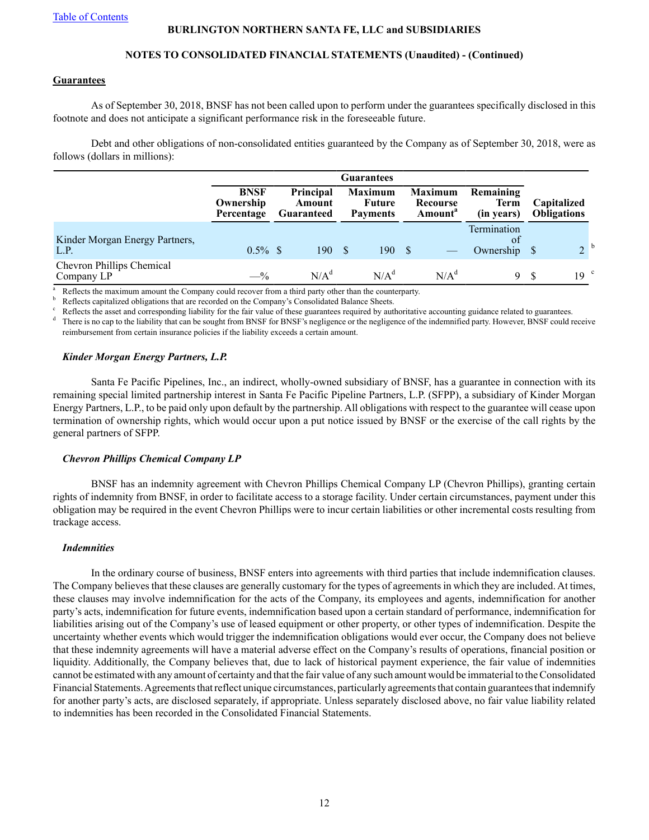## **NOTES TO CONSOLIDATED FINANCIAL STATEMENTS (Unaudited) - (Continued)**

#### **Guarantees**

 As of September 30, 2018, BNSF has not been called upon to perform under the guarantees specifically disclosed in this footnote and does not anticipate a significant performance risk in the foreseeable future.

 Debt and other obligations of non-consolidated entities guaranteed by the Company as of September 30, 2018, were as follows (dollars in millions):

|                                         | <b>Guarantees</b>                      |  |                                          |  |                                             |  |                                                   |                                           |                                   |
|-----------------------------------------|----------------------------------------|--|------------------------------------------|--|---------------------------------------------|--|---------------------------------------------------|-------------------------------------------|-----------------------------------|
|                                         | <b>BNSF</b><br>Ownership<br>Percentage |  | <b>Principal</b><br>Amount<br>Guaranteed |  | <b>Maximum</b><br>Future<br><b>Payments</b> |  | <b>Maximum</b><br>Recourse<br>Amount <sup>"</sup> | Remaining<br>Term<br>(in years)           | Capitalized<br><b>Obligations</b> |
| Kinder Morgan Energy Partners,<br>L.P.  | $0.5\%$ \$                             |  | 190                                      |  | 190                                         |  |                                                   | Termination<br><sub>ot</sub><br>Ownership | 2 <sup>b</sup>                    |
| Chevron Phillips Chemical<br>Company LP | $-$ %                                  |  | N/A <sup>d</sup>                         |  | N/A <sup>d</sup>                            |  | N/A <sup>d</sup>                                  | 9                                         | 19 <sup>c</sup>                   |

Reflects the maximum amount the Company could recover from a third party other than the counterparty.

Reflects capitalized obligations that are recorded on the Company's Consolidated Balance Sheets.

Reflects the asset and corresponding liability for the fair value of these guarantees required by authoritative accounting guidance related to guarantees.

There is no cap to the liability that can be sought from BNSF for BNSF's negligence or the negligence of the indemnified party. However, BNSF could receive reimbursement from certain insurance policies if the liability exceeds a certain amount.

#### *Kinder Morgan Energy Partners, L.P.*

 Santa Fe Pacific Pipelines, Inc., an indirect, wholly-owned subsidiary of BNSF, has a guarantee in connection with its remaining special limited partnership interest in Santa Fe Pacific Pipeline Partners, L.P. (SFPP), a subsidiary of Kinder Morgan Energy Partners, L.P., to be paid only upon default by the partnership. All obligations with respect to the guarantee will cease upon termination of ownership rights, which would occur upon a put notice issued by BNSF or the exercise of the call rights by the general partners of SFPP.

## *Chevron Phillips Chemical Company LP*

 BNSF has an indemnity agreement with Chevron Phillips Chemical Company LP (Chevron Phillips), granting certain rights of indemnity from BNSF, in order to facilitate access to a storage facility. Under certain circumstances, payment under this obligation may be required in the event Chevron Phillips were to incur certain liabilities or other incremental costs resulting from trackage access.

#### *Indemnities*

 In the ordinary course of business, BNSF enters into agreements with third parties that include indemnification clauses. The Company believes that these clauses are generally customary for the types of agreements in which they are included. At times, these clauses may involve indemnification for the acts of the Company, its employees and agents, indemnification for another party's acts, indemnification for future events, indemnification based upon a certain standard of performance, indemnification for liabilities arising out of the Company's use of leased equipment or other property, or other types of indemnification. Despite the uncertainty whether events which would trigger the indemnification obligations would ever occur, the Company does not believe that these indemnity agreements will have a material adverse effect on the Company's results of operations, financial position or liquidity. Additionally, the Company believes that, due to lack of historical payment experience, the fair value of indemnities cannot be estimated with any amount of certainty and that the fair value of any such amount would be immaterial to the Consolidated Financial Statements. Agreements that reflect unique circumstances, particularly agreements that contain guarantees that indemnify for another party's acts, are disclosed separately, if appropriate. Unless separately disclosed above, no fair value liability related to indemnities has been recorded in the Consolidated Financial Statements.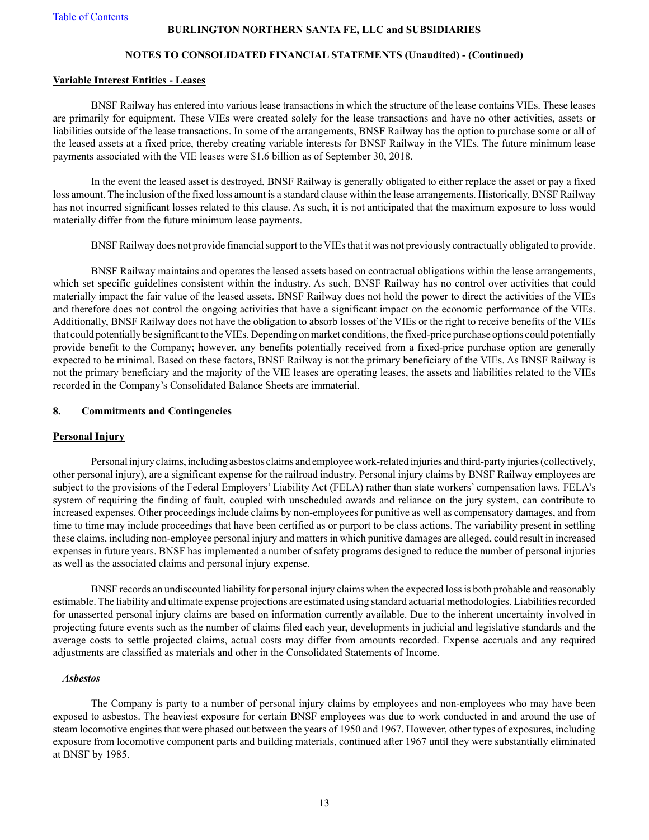## **NOTES TO CONSOLIDATED FINANCIAL STATEMENTS (Unaudited) - (Continued)**

#### **Variable Interest Entities - Leases**

 BNSF Railway has entered into various lease transactions in which the structure of the lease contains VIEs. These leases are primarily for equipment. These VIEs were created solely for the lease transactions and have no other activities, assets or liabilities outside of the lease transactions. In some of the arrangements, BNSF Railway has the option to purchase some or all of the leased assets at a fixed price, thereby creating variable interests for BNSF Railway in the VIEs. The future minimum lease payments associated with the VIE leases were \$1.6 billion as of September 30, 2018.

 In the event the leased asset is destroyed, BNSF Railway is generally obligated to either replace the asset or pay a fixed loss amount. The inclusion of the fixed loss amount is a standard clause within the lease arrangements. Historically, BNSF Railway has not incurred significant losses related to this clause. As such, it is not anticipated that the maximum exposure to loss would materially differ from the future minimum lease payments.

BNSF Railway does not provide financial support to the VIEs that it was not previously contractually obligated to provide.

 BNSF Railway maintains and operates the leased assets based on contractual obligations within the lease arrangements, which set specific guidelines consistent within the industry. As such, BNSF Railway has no control over activities that could materially impact the fair value of the leased assets. BNSF Railway does not hold the power to direct the activities of the VIEs and therefore does not control the ongoing activities that have a significant impact on the economic performance of the VIEs. Additionally, BNSF Railway does not have the obligation to absorb losses of the VIEs or the right to receive benefits of the VIEs that could potentially be significant to the VIEs. Depending on market conditions, the fixed-price purchase options could potentially provide benefit to the Company; however, any benefits potentially received from a fixed-price purchase option are generally expected to be minimal. Based on these factors, BNSF Railway is not the primary beneficiary of the VIEs. As BNSF Railway is not the primary beneficiary and the majority of the VIE leases are operating leases, the assets and liabilities related to the VIEs recorded in the Company's Consolidated Balance Sheets are immaterial.

#### **8. Commitments and Contingencies**

#### **Personal Injury**

 Personal injury claims, including asbestos claims and employee work-related injuries and third-party injuries (collectively, other personal injury), are a significant expense for the railroad industry. Personal injury claims by BNSF Railway employees are subject to the provisions of the Federal Employers' Liability Act (FELA) rather than state workers' compensation laws. FELA's system of requiring the finding of fault, coupled with unscheduled awards and reliance on the jury system, can contribute to increased expenses. Other proceedings include claims by non-employees for punitive as well as compensatory damages, and from time to time may include proceedings that have been certified as or purport to be class actions. The variability present in settling these claims, including non-employee personal injury and matters in which punitive damages are alleged, could result in increased expenses in future years. BNSF has implemented a number of safety programs designed to reduce the number of personal injuries as well as the associated claims and personal injury expense.

 BNSF records an undiscounted liability for personal injury claims when the expected loss is both probable and reasonably estimable. The liability and ultimate expense projections are estimated using standard actuarial methodologies. Liabilities recorded for unasserted personal injury claims are based on information currently available. Due to the inherent uncertainty involved in projecting future events such as the number of claims filed each year, developments in judicial and legislative standards and the average costs to settle projected claims, actual costs may differ from amounts recorded. Expense accruals and any required adjustments are classified as materials and other in the Consolidated Statements of Income.

## *Asbestos*

 The Company is party to a number of personal injury claims by employees and non-employees who may have been exposed to asbestos. The heaviest exposure for certain BNSF employees was due to work conducted in and around the use of steam locomotive engines that were phased out between the years of 1950 and 1967. However, other types of exposures, including exposure from locomotive component parts and building materials, continued after 1967 until they were substantially eliminated at BNSF by 1985.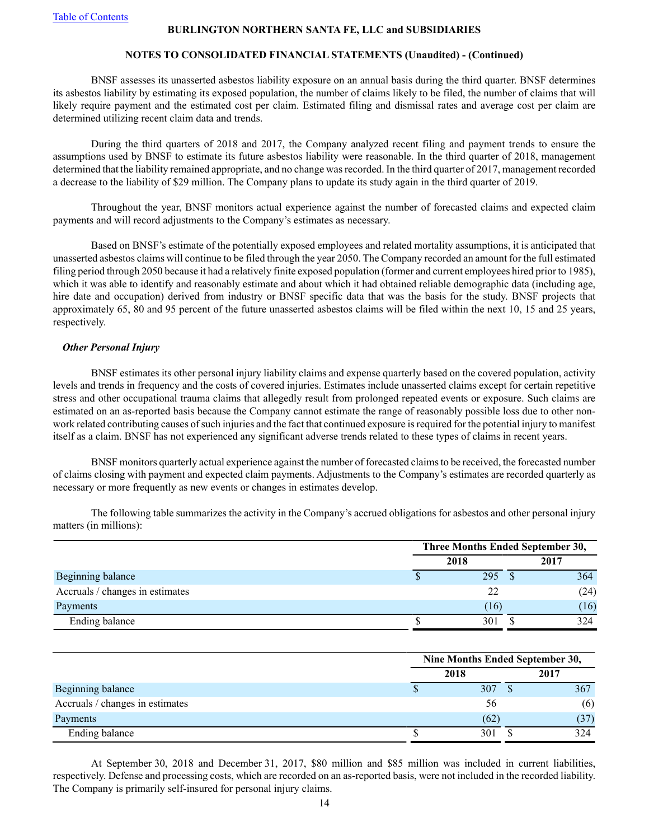## **NOTES TO CONSOLIDATED FINANCIAL STATEMENTS (Unaudited) - (Continued)**

 BNSF assesses its unasserted asbestos liability exposure on an annual basis during the third quarter. BNSF determines its asbestos liability by estimating its exposed population, the number of claims likely to be filed, the number of claims that will likely require payment and the estimated cost per claim. Estimated filing and dismissal rates and average cost per claim are determined utilizing recent claim data and trends.

 During the third quarters of 2018 and 2017, the Company analyzed recent filing and payment trends to ensure the assumptions used by BNSF to estimate its future asbestos liability were reasonable. In the third quarter of 2018, management determined that the liability remained appropriate, and no change was recorded. In the third quarter of 2017, management recorded a decrease to the liability of \$29 million. The Company plans to update its study again in the third quarter of 2019.

 Throughout the year, BNSF monitors actual experience against the number of forecasted claims and expected claim payments and will record adjustments to the Company's estimates as necessary.

 Based on BNSF's estimate of the potentially exposed employees and related mortality assumptions, it is anticipated that unasserted asbestos claims will continue to be filed through the year 2050. The Company recorded an amount for the full estimated filing period through 2050 because it had a relatively finite exposed population (former and current employees hired prior to 1985), which it was able to identify and reasonably estimate and about which it had obtained reliable demographic data (including age, hire date and occupation) derived from industry or BNSF specific data that was the basis for the study. BNSF projects that approximately 65, 80 and 95 percent of the future unasserted asbestos claims will be filed within the next 10, 15 and 25 years, respectively.

#### *Other Personal Injury*

 BNSF estimates its other personal injury liability claims and expense quarterly based on the covered population, activity levels and trends in frequency and the costs of covered injuries. Estimates include unasserted claims except for certain repetitive stress and other occupational trauma claims that allegedly result from prolonged repeated events or exposure. Such claims are estimated on an as-reported basis because the Company cannot estimate the range of reasonably possible loss due to other nonwork related contributing causes of such injuries and the fact that continued exposure is required for the potential injury to manifest itself as a claim. BNSF has not experienced any significant adverse trends related to these types of claims in recent years.

 BNSF monitors quarterly actual experience against the number of forecasted claims to be received, the forecasted number of claims closing with payment and expected claim payments. Adjustments to the Company's estimates are recorded quarterly as necessary or more frequently as new events or changes in estimates develop.

 The following table summarizes the activity in the Company's accrued obligations for asbestos and other personal injury matters (in millions):

|                                 | Three Months Ended September 30, |  |      |  |  |
|---------------------------------|----------------------------------|--|------|--|--|
|                                 | 2018                             |  | 2017 |  |  |
| Beginning balance               | 295                              |  | 364  |  |  |
| Accruals / changes in estimates | 22                               |  | (24) |  |  |
| Payments                        | (16)                             |  | (16) |  |  |
| Ending balance                  | 301                              |  | 324  |  |  |

|                                 | Nine Months Ended September 30, |  |      |  |  |
|---------------------------------|---------------------------------|--|------|--|--|
|                                 | 2018                            |  | 2017 |  |  |
| Beginning balance               | 307                             |  | 367  |  |  |
| Accruals / changes in estimates | 56                              |  | (6)  |  |  |
| Payments                        | (62)                            |  | (37) |  |  |
| Ending balance                  | 301                             |  | 324  |  |  |

 At September 30, 2018 and December 31, 2017, \$80 million and \$85 million was included in current liabilities, respectively. Defense and processing costs, which are recorded on an as-reported basis, were not included in the recorded liability. The Company is primarily self-insured for personal injury claims.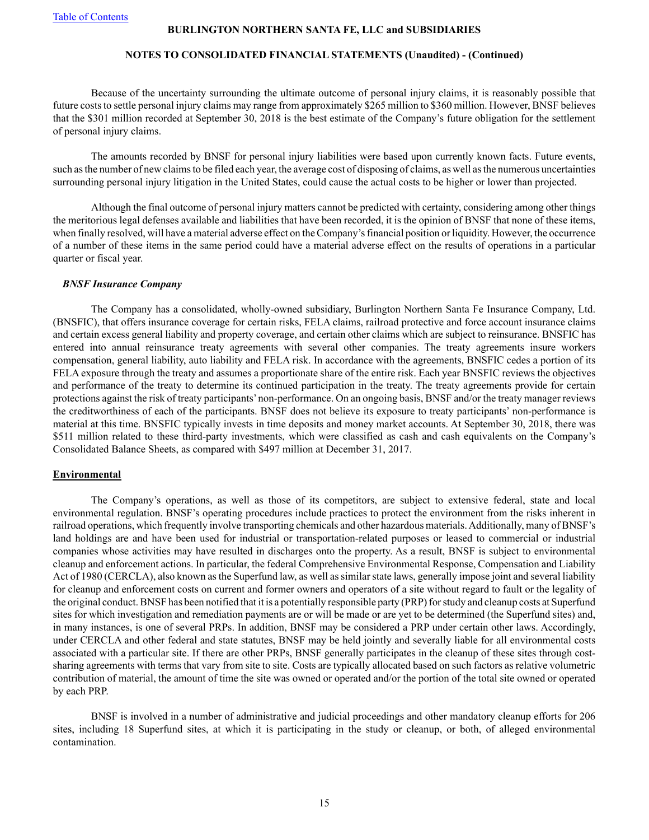## **NOTES TO CONSOLIDATED FINANCIAL STATEMENTS (Unaudited) - (Continued)**

 Because of the uncertainty surrounding the ultimate outcome of personal injury claims, it is reasonably possible that future costs to settle personal injury claims may range from approximately \$265 million to \$360 million. However, BNSF believes that the \$301 million recorded at September 30, 2018 is the best estimate of the Company's future obligation for the settlement of personal injury claims.

 The amounts recorded by BNSF for personal injury liabilities were based upon currently known facts. Future events, such as the number of new claims to be filed each year, the average cost of disposing of claims, as well as the numerous uncertainties surrounding personal injury litigation in the United States, could cause the actual costs to be higher or lower than projected.

 Although the final outcome of personal injury matters cannot be predicted with certainty, considering among other things the meritorious legal defenses available and liabilities that have been recorded, it is the opinion of BNSF that none of these items, when finally resolved, will have a material adverse effect on the Company's financial position or liquidity. However, the occurrence of a number of these items in the same period could have a material adverse effect on the results of operations in a particular quarter or fiscal year.

#### *BNSF Insurance Company*

 The Company has a consolidated, wholly-owned subsidiary, Burlington Northern Santa Fe Insurance Company, Ltd. (BNSFIC), that offers insurance coverage for certain risks, FELA claims, railroad protective and force account insurance claims and certain excess general liability and property coverage, and certain other claims which are subject to reinsurance. BNSFIC has entered into annual reinsurance treaty agreements with several other companies. The treaty agreements insure workers compensation, general liability, auto liability and FELA risk. In accordance with the agreements, BNSFIC cedes a portion of its FELA exposure through the treaty and assumes a proportionate share of the entire risk. Each year BNSFIC reviews the objectives and performance of the treaty to determine its continued participation in the treaty. The treaty agreements provide for certain protections against the risk of treaty participants' non-performance. On an ongoing basis, BNSF and/or the treaty manager reviews the creditworthiness of each of the participants. BNSF does not believe its exposure to treaty participants' non-performance is material at this time. BNSFIC typically invests in time deposits and money market accounts. At September 30, 2018, there was \$511 million related to these third-party investments, which were classified as cash and cash equivalents on the Company's Consolidated Balance Sheets, as compared with \$497 million at December 31, 2017.

## **Environmental**

 The Company's operations, as well as those of its competitors, are subject to extensive federal, state and local environmental regulation. BNSF's operating procedures include practices to protect the environment from the risks inherent in railroad operations, which frequently involve transporting chemicals and other hazardous materials. Additionally, many of BNSF's land holdings are and have been used for industrial or transportation-related purposes or leased to commercial or industrial companies whose activities may have resulted in discharges onto the property. As a result, BNSF is subject to environmental cleanup and enforcement actions. In particular, the federal Comprehensive Environmental Response, Compensation and Liability Act of 1980 (CERCLA), also known as the Superfund law, as well as similar state laws, generally impose joint and several liability for cleanup and enforcement costs on current and former owners and operators of a site without regard to fault or the legality of the original conduct. BNSF has been notified that it is a potentially responsible party (PRP) for study and cleanup costs at Superfund sites for which investigation and remediation payments are or will be made or are yet to be determined (the Superfund sites) and, in many instances, is one of several PRPs. In addition, BNSF may be considered a PRP under certain other laws. Accordingly, under CERCLA and other federal and state statutes, BNSF may be held jointly and severally liable for all environmental costs associated with a particular site. If there are other PRPs, BNSF generally participates in the cleanup of these sites through costsharing agreements with terms that vary from site to site. Costs are typically allocated based on such factors as relative volumetric contribution of material, the amount of time the site was owned or operated and/or the portion of the total site owned or operated by each PRP.

 BNSF is involved in a number of administrative and judicial proceedings and other mandatory cleanup efforts for 206 sites, including 18 Superfund sites, at which it is participating in the study or cleanup, or both, of alleged environmental contamination.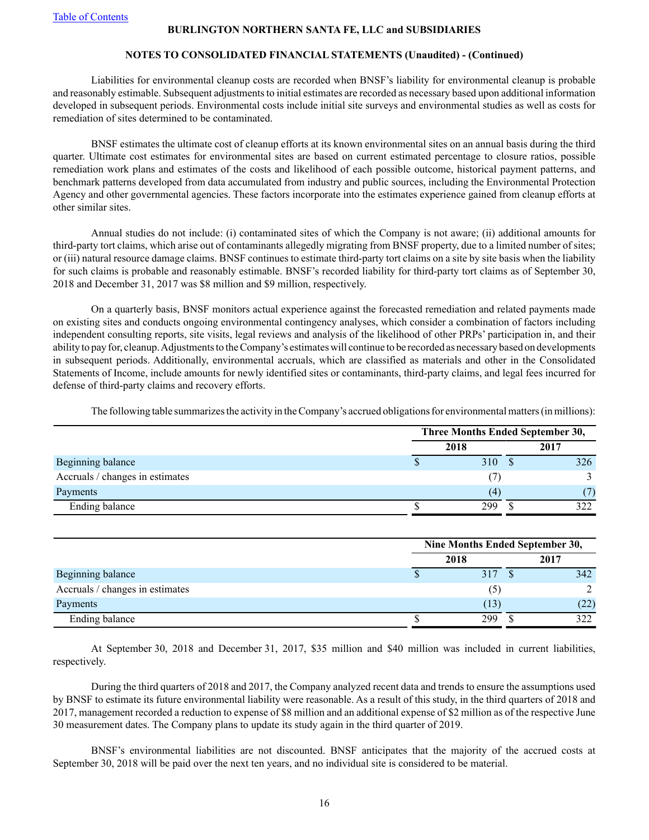# **NOTES TO CONSOLIDATED FINANCIAL STATEMENTS (Unaudited) - (Continued)**

 Liabilities for environmental cleanup costs are recorded when BNSF's liability for environmental cleanup is probable and reasonably estimable. Subsequent adjustments to initial estimates are recorded as necessary based upon additional information developed in subsequent periods. Environmental costs include initial site surveys and environmental studies as well as costs for remediation of sites determined to be contaminated.

 BNSF estimates the ultimate cost of cleanup efforts at its known environmental sites on an annual basis during the third quarter. Ultimate cost estimates for environmental sites are based on current estimated percentage to closure ratios, possible remediation work plans and estimates of the costs and likelihood of each possible outcome, historical payment patterns, and benchmark patterns developed from data accumulated from industry and public sources, including the Environmental Protection Agency and other governmental agencies. These factors incorporate into the estimates experience gained from cleanup efforts at other similar sites.

 Annual studies do not include: (i) contaminated sites of which the Company is not aware; (ii) additional amounts for third-party tort claims, which arise out of contaminants allegedly migrating from BNSF property, due to a limited number of sites; or (iii) natural resource damage claims. BNSF continues to estimate third-party tort claims on a site by site basis when the liability for such claims is probable and reasonably estimable. BNSF's recorded liability for third-party tort claims as of September 30, 2018 and December 31, 2017 was \$8 million and \$9 million, respectively.

 On a quarterly basis, BNSF monitors actual experience against the forecasted remediation and related payments made on existing sites and conducts ongoing environmental contingency analyses, which consider a combination of factors including independent consulting reports, site visits, legal reviews and analysis of the likelihood of other PRPs' participation in, and their ability to pay for, cleanup. Adjustments to the Company's estimates will continue to be recorded as necessary based on developments in subsequent periods. Additionally, environmental accruals, which are classified as materials and other in the Consolidated Statements of Income, include amounts for newly identified sites or contaminants, third-party claims, and legal fees incurred for defense of third-party claims and recovery efforts.

The following table summarizes the activity in the Company's accrued obligations for environmental matters (in millions):

|                                 | Three Months Ended September 30, |  |      |  |  |
|---------------------------------|----------------------------------|--|------|--|--|
|                                 | 2018                             |  | 2017 |  |  |
| Beginning balance               | 310                              |  | 326  |  |  |
| Accruals / changes in estimates |                                  |  |      |  |  |
| Payments                        | (4)                              |  | (7)  |  |  |
| Ending balance                  | 299                              |  | 322  |  |  |

|                                 | Nine Months Ended September 30, |  |      |  |
|---------------------------------|---------------------------------|--|------|--|
|                                 | 2018                            |  | 2017 |  |
| Beginning balance               | 317                             |  | 342  |  |
| Accruals / changes in estimates | (5)                             |  |      |  |
| Payments                        | (13)                            |  | (22) |  |
| Ending balance                  | 299                             |  | 322  |  |

 At September 30, 2018 and December 31, 2017, \$35 million and \$40 million was included in current liabilities, respectively.

 During the third quarters of 2018 and 2017, the Company analyzed recent data and trends to ensure the assumptions used by BNSF to estimate its future environmental liability were reasonable. As a result of this study, in the third quarters of 2018 and 2017, management recorded a reduction to expense of \$8 million and an additional expense of \$2 million as of the respective June 30 measurement dates. The Company plans to update its study again in the third quarter of 2019.

 BNSF's environmental liabilities are not discounted. BNSF anticipates that the majority of the accrued costs at September 30, 2018 will be paid over the next ten years, and no individual site is considered to be material.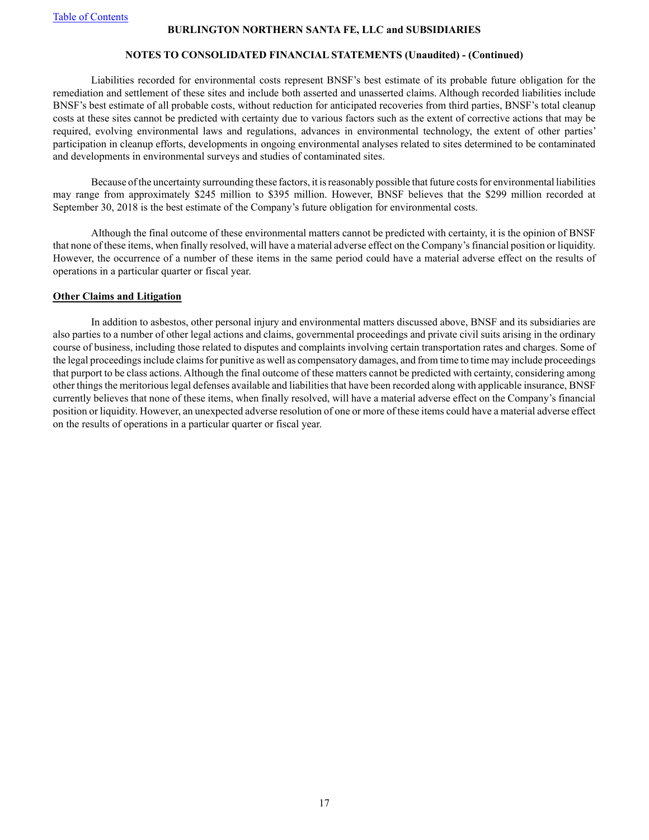## **NOTES TO CONSOLIDATED FINANCIAL STATEMENTS (Unaudited) - (Continued)**

 Liabilities recorded for environmental costs represent BNSF's best estimate of its probable future obligation for the remediation and settlement of these sites and include both asserted and unasserted claims. Although recorded liabilities include BNSF's best estimate of all probable costs, without reduction for anticipated recoveries from third parties, BNSF's total cleanup costs at these sites cannot be predicted with certainty due to various factors such as the extent of corrective actions that may be required, evolving environmental laws and regulations, advances in environmental technology, the extent of other parties' participation in cleanup efforts, developments in ongoing environmental analyses related to sites determined to be contaminated and developments in environmental surveys and studies of contaminated sites.

 Because of the uncertainty surrounding these factors, it is reasonably possible that future costs for environmental liabilities may range from approximately \$245 million to \$395 million. However, BNSF believes that the \$299 million recorded at September 30, 2018 is the best estimate of the Company's future obligation for environmental costs.

 Although the final outcome of these environmental matters cannot be predicted with certainty, it is the opinion of BNSF that none of these items, when finally resolved, will have a material adverse effect on the Company's financial position or liquidity. However, the occurrence of a number of these items in the same period could have a material adverse effect on the results of operations in a particular quarter or fiscal year.

#### **Other Claims and Litigation**

 In addition to asbestos, other personal injury and environmental matters discussed above, BNSF and its subsidiaries are also parties to a number of other legal actions and claims, governmental proceedings and private civil suits arising in the ordinary course of business, including those related to disputes and complaints involving certain transportation rates and charges. Some of the legal proceedings include claims for punitive as well as compensatory damages, and from time to time may include proceedings that purport to be class actions. Although the final outcome of these matters cannot be predicted with certainty, considering among other things the meritorious legal defenses available and liabilities that have been recorded along with applicable insurance, BNSF currently believes that none of these items, when finally resolved, will have a material adverse effect on the Company's financial position or liquidity. However, an unexpected adverse resolution of one or more of these items could have a material adverse effect on the results of operations in a particular quarter or fiscal year.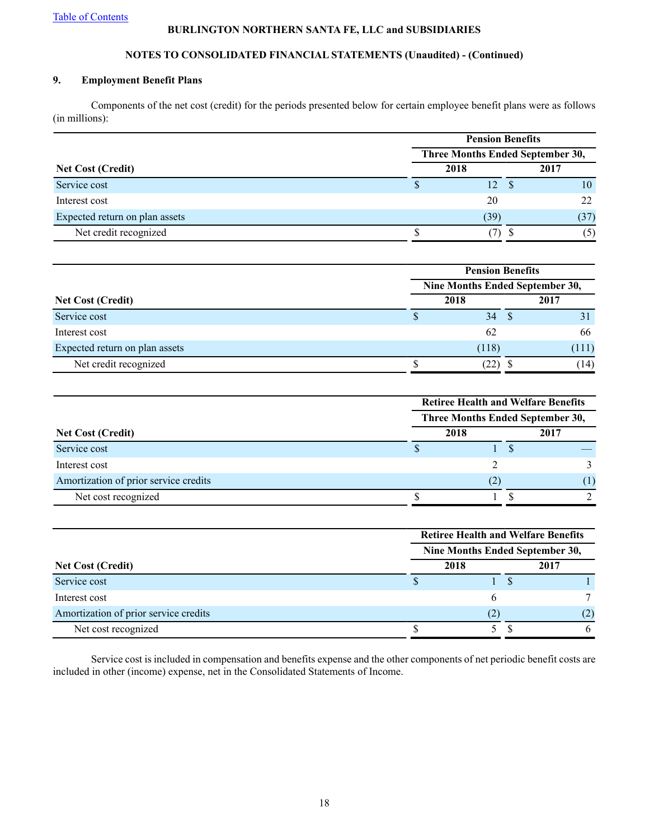# **NOTES TO CONSOLIDATED FINANCIAL STATEMENTS (Unaudited) - (Continued)**

# **9. Employment Benefit Plans**

 Components of the net cost (credit) for the periods presented below for certain employee benefit plans were as follows (in millions):

| <b>Net Cost (Credit)</b>       |  | <b>Pension Benefits</b><br>Three Months Ended September 30, |      |  |  |  |  |
|--------------------------------|--|-------------------------------------------------------------|------|--|--|--|--|
|                                |  |                                                             |      |  |  |  |  |
|                                |  | 2018                                                        | 2017 |  |  |  |  |
| Service cost                   |  | 12                                                          | 10   |  |  |  |  |
| Interest cost                  |  | 20                                                          | 22   |  |  |  |  |
| Expected return on plan assets |  | (39)                                                        | (37) |  |  |  |  |
| Net credit recognized          |  |                                                             | (5)  |  |  |  |  |

|                                | <b>Pension Benefits</b><br>Nine Months Ended September 30, |       |  |       |  |  |
|--------------------------------|------------------------------------------------------------|-------|--|-------|--|--|
|                                |                                                            |       |  |       |  |  |
| <b>Net Cost (Credit)</b>       |                                                            | 2018  |  | 2017  |  |  |
| Service cost                   |                                                            | 34    |  | 31    |  |  |
| Interest cost                  |                                                            | 62    |  | 66    |  |  |
| Expected return on plan assets |                                                            | (118) |  | (111) |  |  |
| Net credit recognized          |                                                            | (22)  |  | (14)  |  |  |

| <b>Net Cost (Credit)</b>              |                                  | <b>Retiree Health and Welfare Benefits</b> |      |  |  |  |  |
|---------------------------------------|----------------------------------|--------------------------------------------|------|--|--|--|--|
|                                       | Three Months Ended September 30, |                                            |      |  |  |  |  |
|                                       |                                  | 2018                                       | 2017 |  |  |  |  |
| Service cost                          |                                  |                                            |      |  |  |  |  |
| Interest cost                         |                                  |                                            |      |  |  |  |  |
| Amortization of prior service credits |                                  | (2)                                        | (1)  |  |  |  |  |
| Net cost recognized                   |                                  |                                            |      |  |  |  |  |

|                                       | <b>Retiree Health and Welfare Benefits</b><br>Nine Months Ended September 30, |      |  |      |  |  |
|---------------------------------------|-------------------------------------------------------------------------------|------|--|------|--|--|
|                                       |                                                                               |      |  |      |  |  |
| <b>Net Cost (Credit)</b>              |                                                                               | 2018 |  | 2017 |  |  |
| Service cost                          |                                                                               |      |  |      |  |  |
| Interest cost                         |                                                                               | b    |  |      |  |  |
| Amortization of prior service credits |                                                                               | (2)  |  | (2)  |  |  |
| Net cost recognized                   |                                                                               |      |  |      |  |  |

 Service cost is included in compensation and benefits expense and the other components of net periodic benefit costs are included in other (income) expense, net in the Consolidated Statements of Income.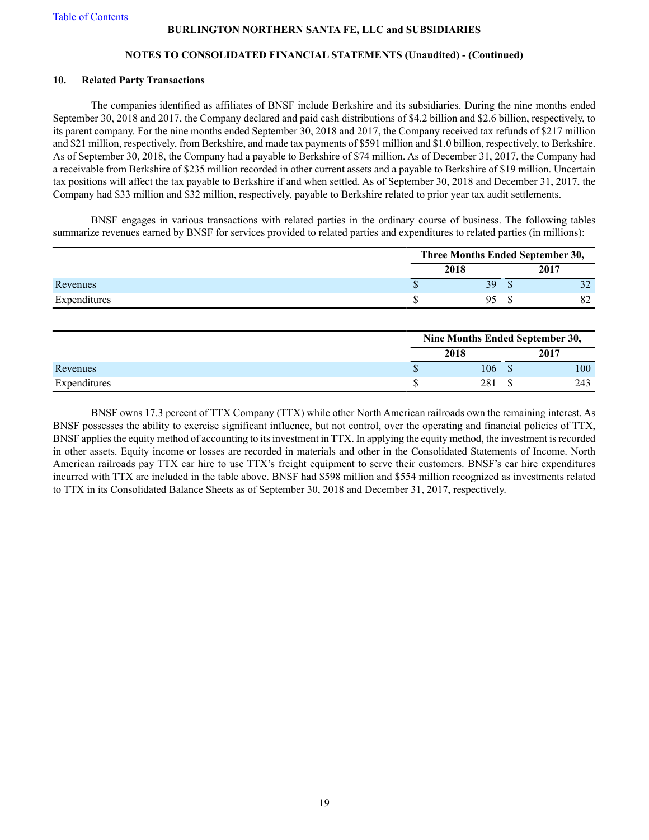# **NOTES TO CONSOLIDATED FINANCIAL STATEMENTS (Unaudited) - (Continued)**

### **10. Related Party Transactions**

 The companies identified as affiliates of BNSF include Berkshire and its subsidiaries. During the nine months ended September 30, 2018 and 2017, the Company declared and paid cash distributions of \$4.2 billion and \$2.6 billion, respectively, to its parent company. For the nine months ended September 30, 2018 and 2017, the Company received tax refunds of \$217 million and \$21 million, respectively, from Berkshire, and made tax payments of \$591 million and \$1.0 billion, respectively, to Berkshire. As of September 30, 2018, the Company had a payable to Berkshire of \$74 million. As of December 31, 2017, the Company had a receivable from Berkshire of \$235 million recorded in other current assets and a payable to Berkshire of \$19 million. Uncertain tax positions will affect the tax payable to Berkshire if and when settled. As of September 30, 2018 and December 31, 2017, the Company had \$33 million and \$32 million, respectively, payable to Berkshire related to prior year tax audit settlements.

 BNSF engages in various transactions with related parties in the ordinary course of business. The following tables summarize revenues earned by BNSF for services provided to related parties and expenditures to related parties (in millions):

|              | Three Months Ended September 30, |  |      |  |  |
|--------------|----------------------------------|--|------|--|--|
|              | 2018                             |  | 2017 |  |  |
| Revenues     | 39                               |  |      |  |  |
| Expenditures | 95                               |  | 82   |  |  |

|              | Nine Months Ended September 30, |  |      |  |  |
|--------------|---------------------------------|--|------|--|--|
|              | 2018                            |  | 2017 |  |  |
| Revenues     | 106                             |  | 100  |  |  |
| Expenditures | 281                             |  | 243  |  |  |

 BNSF owns 17.3 percent of TTX Company (TTX) while other North American railroads own the remaining interest. As BNSF possesses the ability to exercise significant influence, but not control, over the operating and financial policies of TTX, BNSF applies the equity method of accounting to its investment in TTX. In applying the equity method, the investment is recorded in other assets. Equity income or losses are recorded in materials and other in the Consolidated Statements of Income. North American railroads pay TTX car hire to use TTX's freight equipment to serve their customers. BNSF's car hire expenditures incurred with TTX are included in the table above. BNSF had \$598 million and \$554 million recognized as investments related to TTX in its Consolidated Balance Sheets as of September 30, 2018 and December 31, 2017, respectively.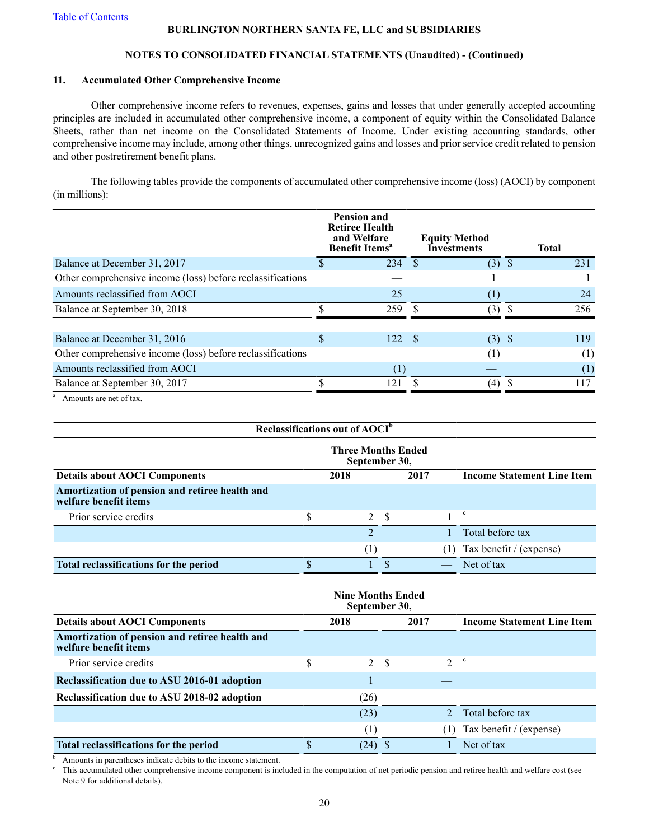## **NOTES TO CONSOLIDATED FINANCIAL STATEMENTS (Unaudited) - (Continued)**

## **11. Accumulated Other Comprehensive Income**

 Other comprehensive income refers to revenues, expenses, gains and losses that under generally accepted accounting principles are included in accumulated other comprehensive income, a component of equity within the Consolidated Balance Sheets, rather than net income on the Consolidated Statements of Income. Under existing accounting standards, other comprehensive income may include, among other things, unrecognized gains and losses and prior service credit related to pension and other postretirement benefit plans.

 The following tables provide the components of accumulated other comprehensive income (loss) (AOCI) by component (in millions):

|                                                            |   | <b>Pension and</b><br><b>Retiree Health</b><br>and Welfare<br><b>Benefit Items<sup>a</sup></b> |      | <b>Equity Method</b><br><b>Investments</b> | <b>Total</b> |
|------------------------------------------------------------|---|------------------------------------------------------------------------------------------------|------|--------------------------------------------|--------------|
| Balance at December 31, 2017                               |   | 234 \$                                                                                         |      | $(3)$ \$                                   | 231          |
| Other comprehensive income (loss) before reclassifications |   |                                                                                                |      |                                            |              |
| Amounts reclassified from AOCI                             |   | 25                                                                                             |      | (1)                                        | 24           |
| Balance at September 30, 2018                              |   | 259                                                                                            |      | (3)                                        | 256          |
| Balance at December 31, 2016                               | S | 122                                                                                            | ∣ \$ | $(3)$ \$                                   | 119          |
| Other comprehensive income (loss) before reclassifications |   |                                                                                                |      | (1)                                        | (1)          |
| Amounts reclassified from AOCI                             |   | (T                                                                                             |      |                                            | (1)          |
| Balance at September 30, 2017                              |   | 121                                                                                            |      | (4)                                        | 117          |
|                                                            |   |                                                                                                |      |                                            |              |

a Amounts are net of tax.

| Reclassifications out of AOCI <sup>b</sup>                              |  |                                            |  |      |                                   |  |  |
|-------------------------------------------------------------------------|--|--------------------------------------------|--|------|-----------------------------------|--|--|
|                                                                         |  | <b>Three Months Ended</b><br>September 30, |  |      |                                   |  |  |
| <b>Details about AOCI Components</b>                                    |  | 2018                                       |  | 2017 | <b>Income Statement Line Item</b> |  |  |
| Amortization of pension and retiree health and<br>welfare benefit items |  |                                            |  |      |                                   |  |  |
| Prior service credits                                                   |  | 2 S                                        |  |      | c                                 |  |  |
|                                                                         |  | ↑                                          |  |      | Total before tax                  |  |  |
|                                                                         |  | $^{(1)}$                                   |  | (1)  | Tax benefit / (expense)           |  |  |
| <b>Total reclassifications for the period</b>                           |  |                                            |  |      | Net of tax                        |  |  |

|                                                                         | <b>Nine Months Ended</b><br>September 30, |  |                |                                   |
|-------------------------------------------------------------------------|-------------------------------------------|--|----------------|-----------------------------------|
| <b>Details about AOCI Components</b>                                    | 2018                                      |  | 2017           | <b>Income Statement Line Item</b> |
| Amortization of pension and retiree health and<br>welfare benefit items |                                           |  |                |                                   |
| Prior service credits                                                   | \$<br>2S                                  |  | $\overline{2}$ | $\mathbf{c}$                      |
| Reclassification due to ASU 2016-01 adoption                            |                                           |  |                |                                   |
| Reclassification due to ASU 2018-02 adoption                            | (26)                                      |  |                |                                   |
|                                                                         | (23)                                      |  |                | Total before tax                  |
|                                                                         | (1)                                       |  | (1)            | Tax benefit / (expense)           |
| Total reclassifications for the period                                  | (24)                                      |  |                | Net of tax                        |

b Amounts in parentheses indicate debits to the income statement.

c This accumulated other comprehensive income component is included in the computation of net periodic pension and retiree health and welfare cost (see Note 9 for additional details).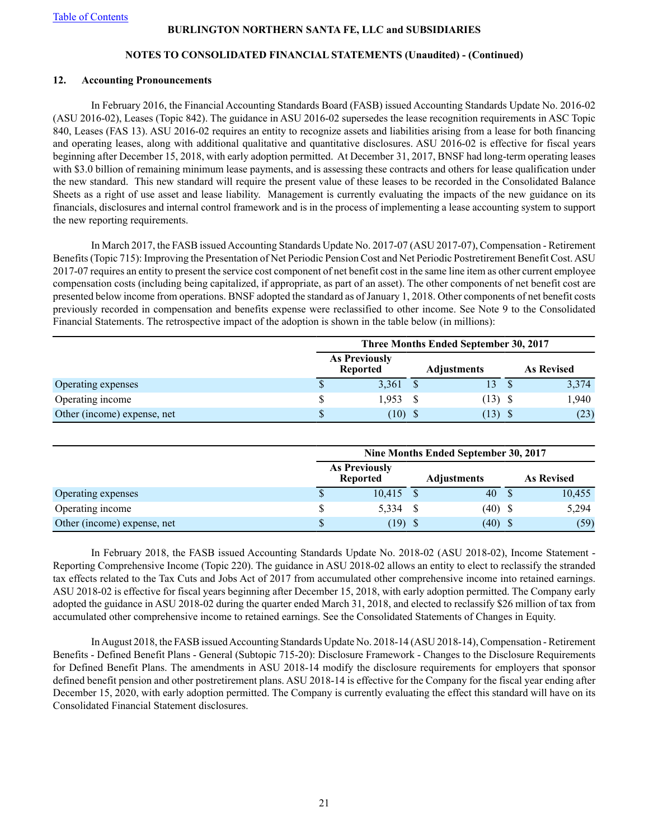# **NOTES TO CONSOLIDATED FINANCIAL STATEMENTS (Unaudited) - (Continued)**

## **12. Accounting Pronouncements**

 In February 2016, the Financial Accounting Standards Board (FASB) issued Accounting Standards Update No. 2016-02 (ASU 2016-02), Leases (Topic 842). The guidance in ASU 2016-02 supersedes the lease recognition requirements in ASC Topic 840, Leases (FAS 13). ASU 2016-02 requires an entity to recognize assets and liabilities arising from a lease for both financing and operating leases, along with additional qualitative and quantitative disclosures. ASU 2016-02 is effective for fiscal years beginning after December 15, 2018, with early adoption permitted. At December 31, 2017, BNSF had long-term operating leases with \$3.0 billion of remaining minimum lease payments, and is assessing these contracts and others for lease qualification under the new standard. This new standard will require the present value of these leases to be recorded in the Consolidated Balance Sheets as a right of use asset and lease liability. Management is currently evaluating the impacts of the new guidance on its financials, disclosures and internal control framework and is in the process of implementing a lease accounting system to support the new reporting requirements.

 In March 2017, the FASB issued Accounting Standards Update No. 2017-07 (ASU 2017-07), Compensation - Retirement Benefits (Topic 715): Improving the Presentation of Net Periodic Pension Cost and Net Periodic Postretirement Benefit Cost. ASU 2017-07 requires an entity to present the service cost component of net benefit cost in the same line item as other current employee compensation costs (including being capitalized, if appropriate, as part of an asset). The other components of net benefit cost are presented below income from operations. BNSF adopted the standard as of January 1, 2018. Other components of net benefit costs previously recorded in compensation and benefits expense were reclassified to other income. See Note 9 to the Consolidated Financial Statements. The retrospective impact of the adoption is shown in the table below (in millions):

|                             | <b>Three Months Ended September 30, 2017</b> |                                         |  |                    |  |            |  |  |
|-----------------------------|----------------------------------------------|-----------------------------------------|--|--------------------|--|------------|--|--|
|                             |                                              | <b>As Previously</b><br><b>Reported</b> |  | <b>Adjustments</b> |  | As Revised |  |  |
| Operating expenses          |                                              | 3,361                                   |  | 13                 |  | 3,374      |  |  |
| Operating income            |                                              | 1.953                                   |  | $(13)$ \$          |  | 1.940      |  |  |
| Other (income) expense, net |                                              | $(10)$ \$                               |  | $(13)$ \$          |  | (23)       |  |  |

|                             | Nine Months Ended September 30, 2017    |                    |           |  |                   |  |  |  |
|-----------------------------|-----------------------------------------|--------------------|-----------|--|-------------------|--|--|--|
|                             | <b>As Previously</b><br><b>Reported</b> | <b>Adjustments</b> |           |  | <b>As Revised</b> |  |  |  |
| Operating expenses          | $10.415$ \$                             |                    | 40        |  | 10,455            |  |  |  |
| Operating income            | 5.334                                   |                    | $(40)$ \$ |  | 5,294             |  |  |  |
| Other (income) expense, net | $(19)$ \$                               |                    | $(40)$ \$ |  | (59)              |  |  |  |

 In February 2018, the FASB issued Accounting Standards Update No. 2018-02 (ASU 2018-02), Income Statement - Reporting Comprehensive Income (Topic 220). The guidance in ASU 2018-02 allows an entity to elect to reclassify the stranded tax effects related to the Tax Cuts and Jobs Act of 2017 from accumulated other comprehensive income into retained earnings. ASU 2018-02 is effective for fiscal years beginning after December 15, 2018, with early adoption permitted. The Company early adopted the guidance in ASU 2018-02 during the quarter ended March 31, 2018, and elected to reclassify \$26 million of tax from accumulated other comprehensive income to retained earnings. See the Consolidated Statements of Changes in Equity.

 In August 2018, the FASB issued Accounting Standards Update No. 2018-14 (ASU 2018-14), Compensation - Retirement Benefits - Defined Benefit Plans - General (Subtopic 715-20): Disclosure Framework - Changes to the Disclosure Requirements for Defined Benefit Plans. The amendments in ASU 2018-14 modify the disclosure requirements for employers that sponsor defined benefit pension and other postretirement plans. ASU 2018-14 is effective for the Company for the fiscal year ending after December 15, 2020, with early adoption permitted. The Company is currently evaluating the effect this standard will have on its Consolidated Financial Statement disclosures.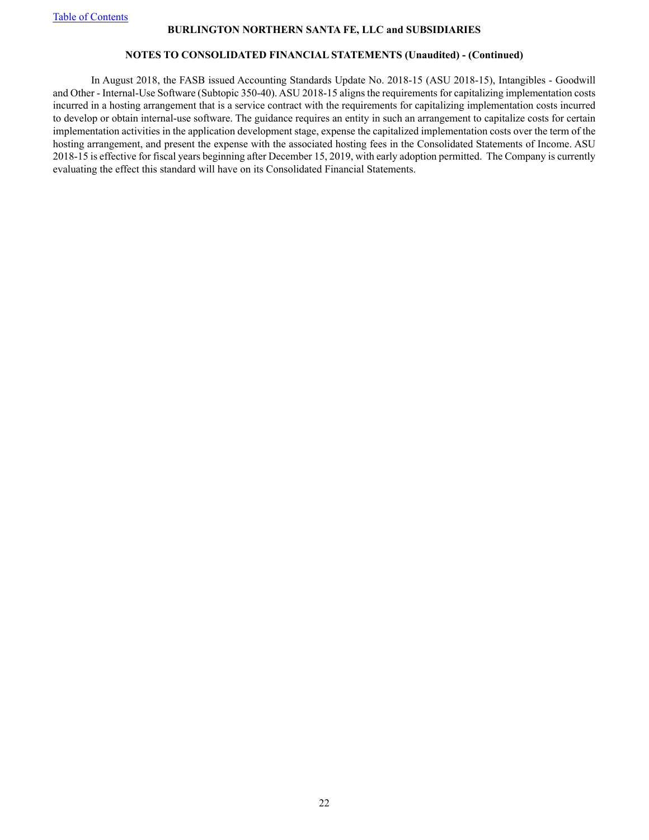## **NOTES TO CONSOLIDATED FINANCIAL STATEMENTS (Unaudited) - (Continued)**

 In August 2018, the FASB issued Accounting Standards Update No. 2018-15 (ASU 2018-15), Intangibles - Goodwill and Other - Internal-Use Software (Subtopic 350-40). ASU 2018-15 aligns the requirements for capitalizing implementation costs incurred in a hosting arrangement that is a service contract with the requirements for capitalizing implementation costs incurred to develop or obtain internal-use software. The guidance requires an entity in such an arrangement to capitalize costs for certain implementation activities in the application development stage, expense the capitalized implementation costs over the term of the hosting arrangement, and present the expense with the associated hosting fees in the Consolidated Statements of Income. ASU 2018-15 is effective for fiscal years beginning after December 15, 2019, with early adoption permitted. The Company is currently evaluating the effect this standard will have on its Consolidated Financial Statements.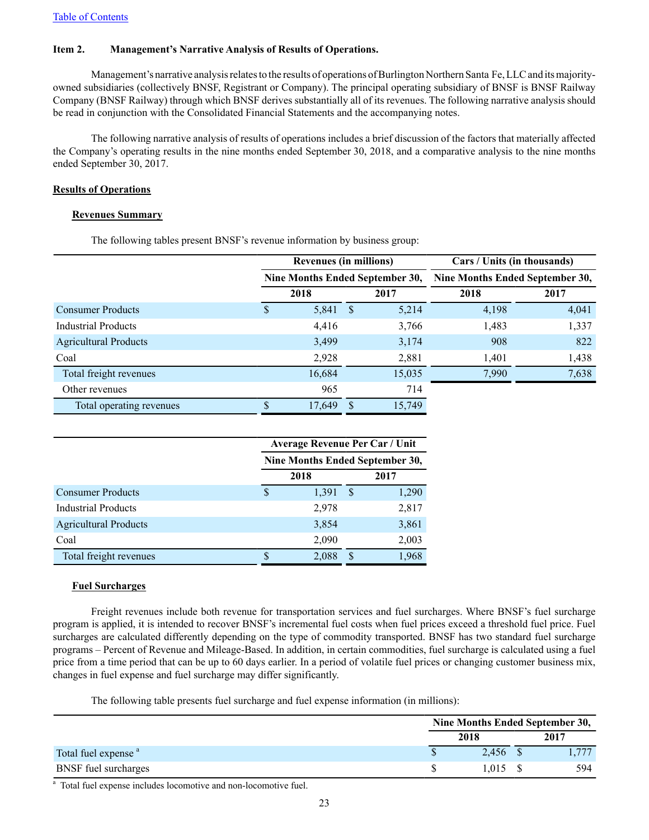## <span id="page-22-0"></span>**Item 2. Management's Narrative Analysis of Results of Operations.**

 Management's narrative analysis relates to the results of operations of Burlington Northern Santa Fe, LLC and its majorityowned subsidiaries (collectively BNSF, Registrant or Company). The principal operating subsidiary of BNSF is BNSF Railway Company (BNSF Railway) through which BNSF derives substantially all of its revenues. The following narrative analysis should be read in conjunction with the Consolidated Financial Statements and the accompanying notes.

 The following narrative analysis of results of operations includes a brief discussion of the factors that materially affected the Company's operating results in the nine months ended September 30, 2018, and a comparative analysis to the nine months ended September 30, 2017.

#### **Results of Operations**

#### **Revenues Summary**

The following tables present BNSF's revenue information by business group:

|                              | <b>Revenues (in millions)</b> |          |                                 | Cars / Units (in thousands)     |       |  |  |
|------------------------------|-------------------------------|----------|---------------------------------|---------------------------------|-------|--|--|
|                              |                               |          | Nine Months Ended September 30, | Nine Months Ended September 30, |       |  |  |
|                              | 2018                          |          | 2017                            | 2018                            | 2017  |  |  |
| <b>Consumer Products</b>     | 5,841                         | - \$     | 5,214                           | 4,198                           | 4,041 |  |  |
| <b>Industrial Products</b>   | 4,416                         |          | 3,766                           | 1,483                           | 1,337 |  |  |
| <b>Agricultural Products</b> | 3,499                         |          | 3,174                           | 908                             | 822   |  |  |
| Coal                         | 2,928                         |          | 2,881                           | 1,401                           | 1,438 |  |  |
| Total freight revenues       | 16,684                        |          | 15,035                          | 7,990                           | 7,638 |  |  |
| Other revenues               | 965                           |          | 714                             |                                 |       |  |  |
| Total operating revenues     | 17,649                        | <b>S</b> | 15,749                          |                                 |       |  |  |

|                              |          | <b>Average Revenue Per Car / Unit</b> |              |       |  |  |  |  |  |  |  |
|------------------------------|----------|---------------------------------------|--------------|-------|--|--|--|--|--|--|--|
|                              |          | Nine Months Ended September 30,       |              |       |  |  |  |  |  |  |  |
|                              |          | 2018                                  |              |       |  |  |  |  |  |  |  |
| <b>Consumer Products</b>     | <b>S</b> | 1,391                                 | <sup>S</sup> | 1,290 |  |  |  |  |  |  |  |
| <b>Industrial Products</b>   |          | 2,978                                 |              | 2,817 |  |  |  |  |  |  |  |
| <b>Agricultural Products</b> |          | 3,854                                 |              | 3,861 |  |  |  |  |  |  |  |
| Coal                         |          | 2,090                                 |              | 2,003 |  |  |  |  |  |  |  |
| Total freight revenues       |          | 2,088                                 | S            | 1,968 |  |  |  |  |  |  |  |

#### **Fuel Surcharges**

 Freight revenues include both revenue for transportation services and fuel surcharges. Where BNSF's fuel surcharge program is applied, it is intended to recover BNSF's incremental fuel costs when fuel prices exceed a threshold fuel price. Fuel surcharges are calculated differently depending on the type of commodity transported. BNSF has two standard fuel surcharge programs – Percent of Revenue and Mileage-Based. In addition, in certain commodities, fuel surcharge is calculated using a fuel price from a time period that can be up to 60 days earlier. In a period of volatile fuel prices or changing customer business mix, changes in fuel expense and fuel surcharge may differ significantly.

The following table presents fuel surcharge and fuel expense information (in millions):

|                                 | Nine Months Ended September 30, |            |  |       |  |  |
|---------------------------------|---------------------------------|------------|--|-------|--|--|
|                                 |                                 | 2018       |  | 2017  |  |  |
| Total fuel expense <sup>a</sup> |                                 | 2,456      |  | 1,777 |  |  |
| <b>BNSF</b> fuel surcharges     |                                 | $1,015$ \$ |  | 594   |  |  |

<sup>a</sup> Total fuel expense includes locomotive and non-locomotive fuel.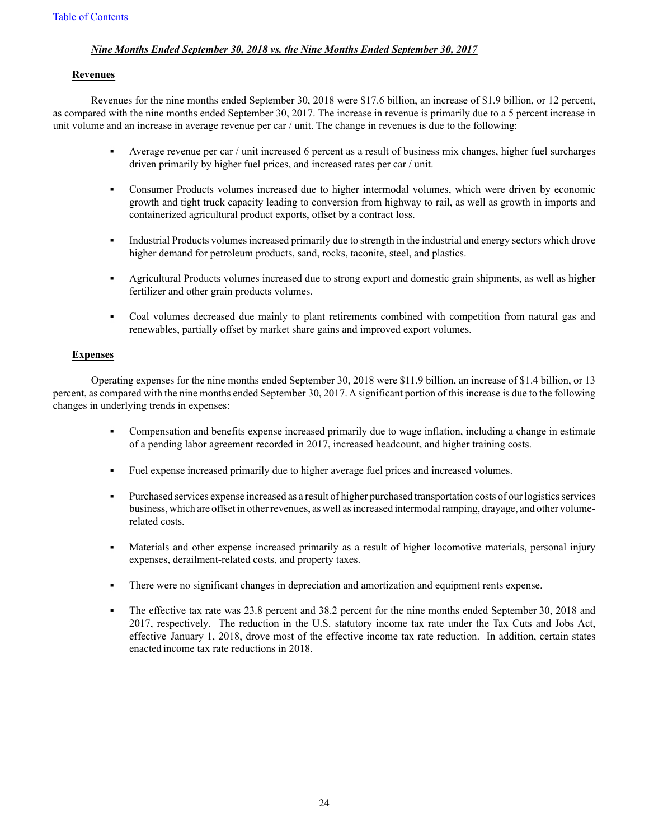## *Nine Months Ended September 30, 2018 vs. the Nine Months Ended September 30, 2017*

### **Revenues**

Revenues for the nine months ended September 30, 2018 were \$17.6 billion, an increase of \$1.9 billion, or 12 percent, as compared with the nine months ended September 30, 2017. The increase in revenue is primarily due to a 5 percent increase in unit volume and an increase in average revenue per car / unit. The change in revenues is due to the following:

- Average revenue per car / unit increased 6 percent as a result of business mix changes, higher fuel surcharges driven primarily by higher fuel prices, and increased rates per car / unit.
- Consumer Products volumes increased due to higher intermodal volumes, which were driven by economic growth and tight truck capacity leading to conversion from highway to rail, as well as growth in imports and containerized agricultural product exports, offset by a contract loss.
- Industrial Products volumes increased primarily due to strength in the industrial and energy sectors which drove higher demand for petroleum products, sand, rocks, taconite, steel, and plastics.
- Agricultural Products volumes increased due to strong export and domestic grain shipments, as well as higher fertilizer and other grain products volumes.
- Coal volumes decreased due mainly to plant retirements combined with competition from natural gas and renewables, partially offset by market share gains and improved export volumes.

## **Expenses**

Operating expenses for the nine months ended September 30, 2018 were \$11.9 billion, an increase of \$1.4 billion, or 13 percent, as compared with the nine months ended September 30, 2017. A significant portion of this increase is due to the following changes in underlying trends in expenses:

- Compensation and benefits expense increased primarily due to wage inflation, including a change in estimate of a pending labor agreement recorded in 2017, increased headcount, and higher training costs.
- Fuel expense increased primarily due to higher average fuel prices and increased volumes.
- Purchased services expense increased as a result of higher purchased transportation costs of our logistics services business, which are offsetin other revenues, as well as increased intermodal ramping, drayage, and other volumerelated costs.
- Materials and other expense increased primarily as a result of higher locomotive materials, personal injury expenses, derailment-related costs, and property taxes.
- There were no significant changes in depreciation and amortization and equipment rents expense.
- The effective tax rate was 23.8 percent and 38.2 percent for the nine months ended September 30, 2018 and 2017, respectively. The reduction in the U.S. statutory income tax rate under the Tax Cuts and Jobs Act, effective January 1, 2018, drove most of the effective income tax rate reduction. In addition, certain states enacted income tax rate reductions in 2018.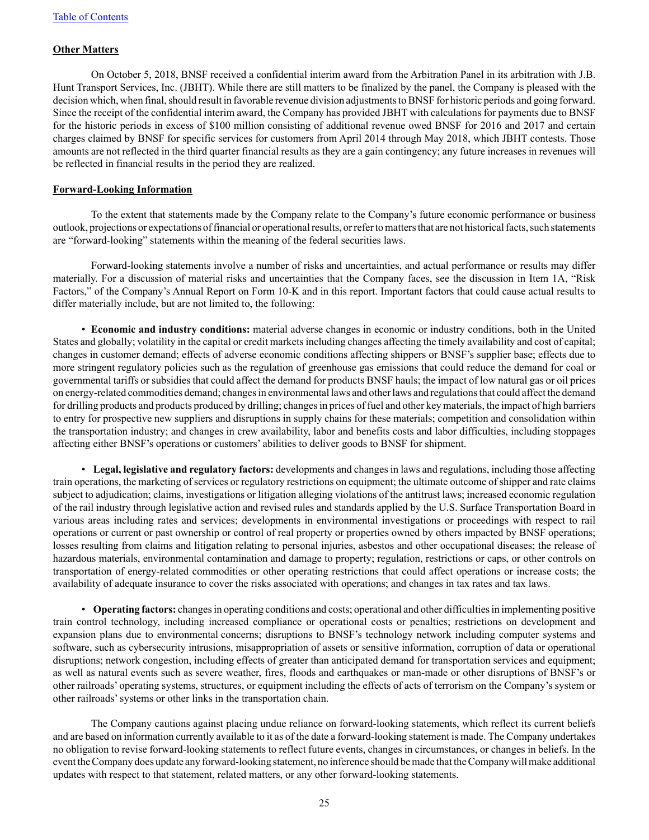## **Other Matters**

 On October 5, 2018, BNSF received a confidential interim award from the Arbitration Panel in its arbitration with J.B. Hunt Transport Services, Inc. (JBHT). While there are still matters to be finalized by the panel, the Company is pleased with the decision which, when final, should result in favorable revenue division adjustments to BNSF for historic periods and going forward. Since the receipt of the confidential interim award, the Company has provided JBHT with calculations for payments due to BNSF for the historic periods in excess of \$100 million consisting of additional revenue owed BNSF for 2016 and 2017 and certain charges claimed by BNSF for specific services for customers from April 2014 through May 2018, which JBHT contests. Those amounts are not reflected in the third quarter financial results as they are a gain contingency; any future increases in revenues will be reflected in financial results in the period they are realized.

## **Forward-Looking Information**

 To the extent that statements made by the Company relate to the Company's future economic performance or business outlook, projections or expectations of financial or operational results, or refer to matters that are not historical facts, such statements are "forward-looking" statements within the meaning of the federal securities laws.

 Forward-looking statements involve a number of risks and uncertainties, and actual performance or results may differ materially. For a discussion of material risks and uncertainties that the Company faces, see the discussion in Item 1A, "Risk Factors," of the Company's Annual Report on Form 10-K and in this report. Important factors that could cause actual results to differ materially include, but are not limited to, the following:

• **Economic and industry conditions:** material adverse changes in economic or industry conditions, both in the United States and globally; volatility in the capital or credit markets including changes affecting the timely availability and cost of capital; changes in customer demand; effects of adverse economic conditions affecting shippers or BNSF's supplier base; effects due to more stringent regulatory policies such as the regulation of greenhouse gas emissions that could reduce the demand for coal or governmental tariffs or subsidies that could affect the demand for products BNSF hauls; the impact of low natural gas or oil prices on energy-related commodities demand; changes in environmental laws and other laws and regulations that could affect the demand for drilling products and products produced by drilling; changes in prices of fuel and other key materials, the impact of high barriers to entry for prospective new suppliers and disruptions in supply chains for these materials; competition and consolidation within the transportation industry; and changes in crew availability, labor and benefits costs and labor difficulties, including stoppages affecting either BNSF's operations or customers' abilities to deliver goods to BNSF for shipment.

• **Legal, legislative and regulatory factors:** developments and changes in laws and regulations, including those affecting train operations, the marketing of services or regulatory restrictions on equipment; the ultimate outcome of shipper and rate claims subject to adjudication; claims, investigations or litigation alleging violations of the antitrust laws; increased economic regulation of the rail industry through legislative action and revised rules and standards applied by the U.S. Surface Transportation Board in various areas including rates and services; developments in environmental investigations or proceedings with respect to rail operations or current or past ownership or control of real property or properties owned by others impacted by BNSF operations; losses resulting from claims and litigation relating to personal injuries, asbestos and other occupational diseases; the release of hazardous materials, environmental contamination and damage to property; regulation, restrictions or caps, or other controls on transportation of energy-related commodities or other operating restrictions that could affect operations or increase costs; the availability of adequate insurance to cover the risks associated with operations; and changes in tax rates and tax laws.

• **Operating factors:** changes in operating conditions and costs; operational and other difficulties in implementing positive train control technology, including increased compliance or operational costs or penalties; restrictions on development and expansion plans due to environmental concerns; disruptions to BNSF's technology network including computer systems and software, such as cybersecurity intrusions, misappropriation of assets or sensitive information, corruption of data or operational disruptions; network congestion, including effects of greater than anticipated demand for transportation services and equipment; as well as natural events such as severe weather, fires, floods and earthquakes or man-made or other disruptions of BNSF's or other railroads' operating systems, structures, or equipment including the effects of acts of terrorism on the Company's system or other railroads' systems or other links in the transportation chain.

 The Company cautions against placing undue reliance on forward-looking statements, which reflect its current beliefs and are based on information currently available to it as of the date a forward-looking statement is made. The Company undertakes no obligation to revise forward-looking statements to reflect future events, changes in circumstances, or changes in beliefs. In the event the Company does update any forward-looking statement, no inference should be made that the Company will make additional updates with respect to that statement, related matters, or any other forward-looking statements.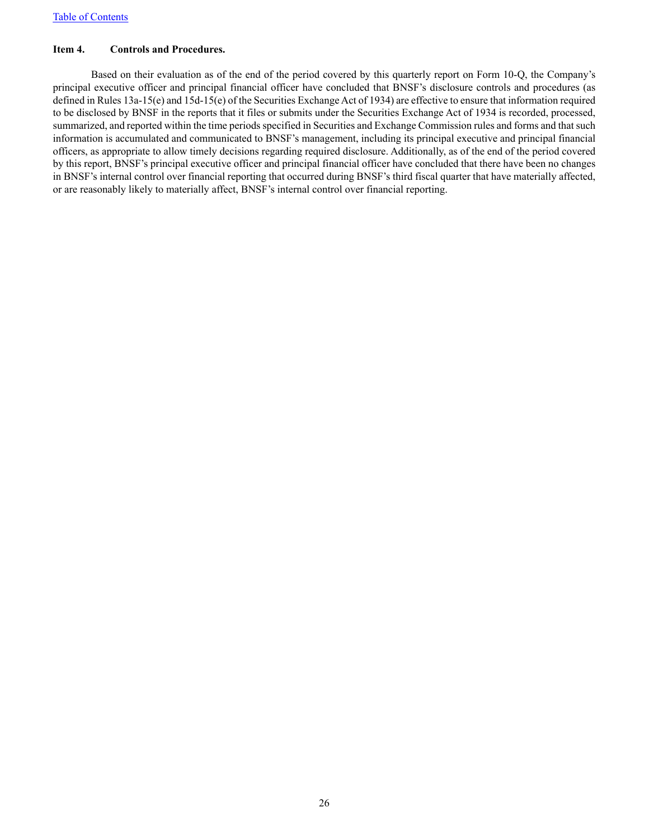## <span id="page-25-0"></span>**Item 4. Controls and Procedures.**

 Based on their evaluation as of the end of the period covered by this quarterly report on Form 10-Q, the Company's principal executive officer and principal financial officer have concluded that BNSF's disclosure controls and procedures (as defined in Rules 13a-15(e) and 15d-15(e) of the Securities Exchange Act of 1934) are effective to ensure that information required to be disclosed by BNSF in the reports that it files or submits under the Securities Exchange Act of 1934 is recorded, processed, summarized, and reported within the time periods specified in Securities and Exchange Commission rules and forms and that such information is accumulated and communicated to BNSF's management, including its principal executive and principal financial officers, as appropriate to allow timely decisions regarding required disclosure. Additionally, as of the end of the period covered by this report, BNSF's principal executive officer and principal financial officer have concluded that there have been no changes in BNSF's internal control over financial reporting that occurred during BNSF's third fiscal quarter that have materially affected, or are reasonably likely to materially affect, BNSF's internal control over financial reporting.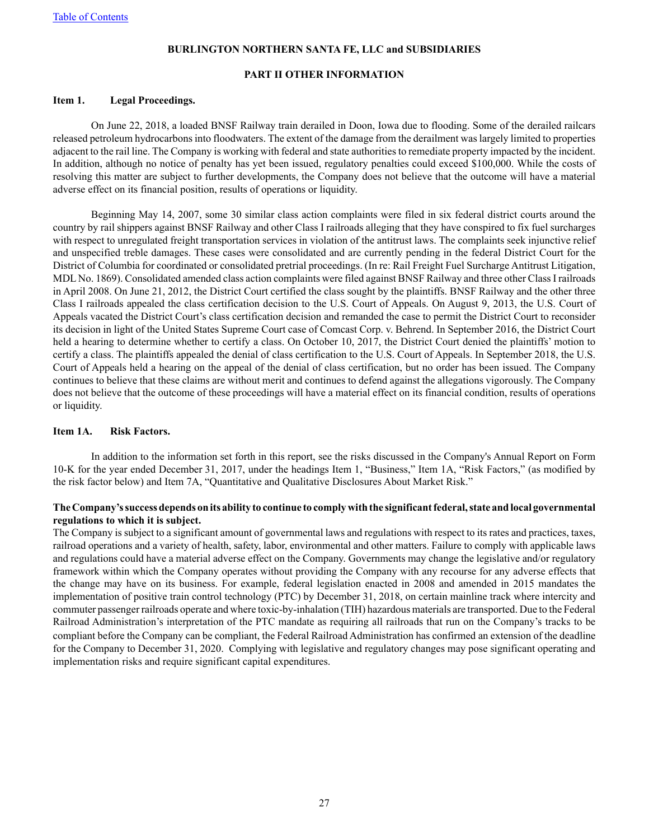#### **PART II OTHER INFORMATION**

#### <span id="page-26-0"></span>**Item 1. Legal Proceedings.**

 On June 22, 2018, a loaded BNSF Railway train derailed in Doon, Iowa due to flooding. Some of the derailed railcars released petroleum hydrocarbons into floodwaters. The extent of the damage from the derailment was largely limited to properties adjacent to the rail line. The Company is working with federal and state authorities to remediate property impacted by the incident. In addition, although no notice of penalty has yet been issued, regulatory penalties could exceed \$100,000. While the costs of resolving this matter are subject to further developments, the Company does not believe that the outcome will have a material adverse effect on its financial position, results of operations or liquidity.

 Beginning May 14, 2007, some 30 similar class action complaints were filed in six federal district courts around the country by rail shippers against BNSF Railway and other Class I railroads alleging that they have conspired to fix fuel surcharges with respect to unregulated freight transportation services in violation of the antitrust laws. The complaints seek injunctive relief and unspecified treble damages. These cases were consolidated and are currently pending in the federal District Court for the District of Columbia for coordinated or consolidated pretrial proceedings. (In re: Rail Freight Fuel Surcharge Antitrust Litigation, MDL No. 1869). Consolidated amended class action complaints were filed against BNSF Railway and three other Class I railroads in April 2008. On June 21, 2012, the District Court certified the class sought by the plaintiffs. BNSF Railway and the other three Class I railroads appealed the class certification decision to the U.S. Court of Appeals. On August 9, 2013, the U.S. Court of Appeals vacated the District Court's class certification decision and remanded the case to permit the District Court to reconsider its decision in light of the United States Supreme Court case of Comcast Corp. v. Behrend. In September 2016, the District Court held a hearing to determine whether to certify a class. On October 10, 2017, the District Court denied the plaintiffs' motion to certify a class. The plaintiffs appealed the denial of class certification to the U.S. Court of Appeals. In September 2018, the U.S. Court of Appeals held a hearing on the appeal of the denial of class certification, but no order has been issued. The Company continues to believe that these claims are without merit and continues to defend against the allegations vigorously. The Company does not believe that the outcome of these proceedings will have a material effect on its financial condition, results of operations or liquidity.

## <span id="page-26-1"></span>**Item 1A. Risk Factors.**

 In addition to the information set forth in this report, see the risks discussed in the Company's Annual Report on Form 10-K for the year ended December 31, 2017, under the headings Item 1, "Business," Item 1A, "Risk Factors," (as modified by the risk factor below) and Item 7A, "Quantitative and Qualitative Disclosures About Market Risk."

## **The Company's success depends on its ability to continue to comply with the significant federal, state and local governmental regulations to which it is subject.**

The Company is subject to a significant amount of governmental laws and regulations with respect to its rates and practices, taxes, railroad operations and a variety of health, safety, labor, environmental and other matters. Failure to comply with applicable laws and regulations could have a material adverse effect on the Company. Governments may change the legislative and/or regulatory framework within which the Company operates without providing the Company with any recourse for any adverse effects that the change may have on its business. For example, federal legislation enacted in 2008 and amended in 2015 mandates the implementation of positive train control technology (PTC) by December 31, 2018, on certain mainline track where intercity and commuter passenger railroads operate and where toxic-by-inhalation (TIH) hazardous materials are transported. Due to the Federal Railroad Administration's interpretation of the PTC mandate as requiring all railroads that run on the Company's tracks to be compliant before the Company can be compliant, the Federal Railroad Administration has confirmed an extension of the deadline for the Company to December 31, 2020. Complying with legislative and regulatory changes may pose significant operating and implementation risks and require significant capital expenditures.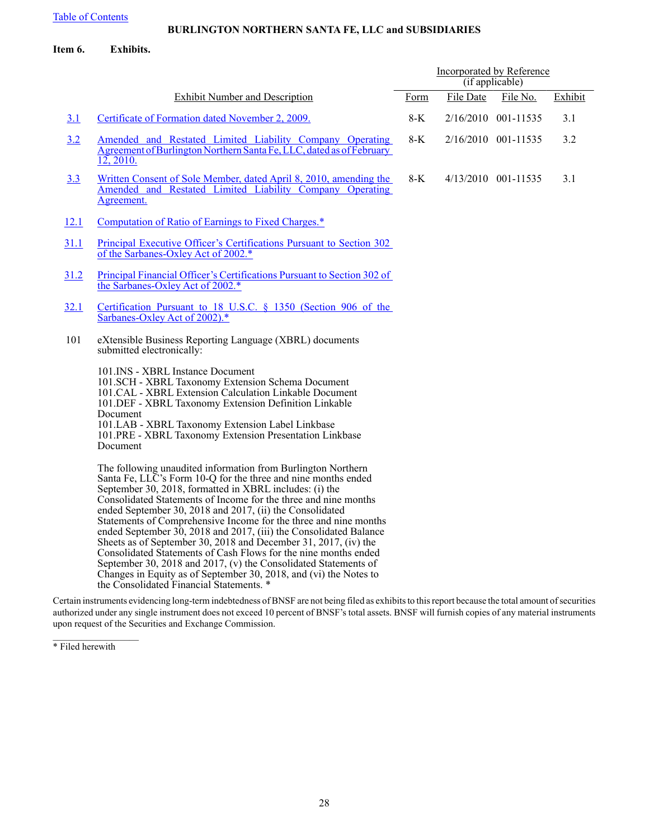# <span id="page-27-0"></span>[Table of Contents](#page-1-0)

# **BURLINGTON NORTHERN SANTA FE, LLC and SUBSIDIARIES**

**Item 6. Exhibits.**

|      |                                                                                                                                                                                                                                                                                                                                                                                                                                                                                                                                                                                                                                                                                                                                                                                               | Incorporated by Reference<br>(if applicable) |           |                     |         |
|------|-----------------------------------------------------------------------------------------------------------------------------------------------------------------------------------------------------------------------------------------------------------------------------------------------------------------------------------------------------------------------------------------------------------------------------------------------------------------------------------------------------------------------------------------------------------------------------------------------------------------------------------------------------------------------------------------------------------------------------------------------------------------------------------------------|----------------------------------------------|-----------|---------------------|---------|
|      | <b>Exhibit Number and Description</b>                                                                                                                                                                                                                                                                                                                                                                                                                                                                                                                                                                                                                                                                                                                                                         | Form                                         | File Date | File No.            | Exhibit |
| 3.1  | Certificate of Formation dated November 2, 2009.                                                                                                                                                                                                                                                                                                                                                                                                                                                                                                                                                                                                                                                                                                                                              | $8-K$                                        |           | 2/16/2010 001-11535 | 3.1     |
| 3.2  | Amended and Restated Limited Liability Company Operating<br>Agreement of Burlington Northern Santa Fe, LLC, dated as of February<br>12, 2010.                                                                                                                                                                                                                                                                                                                                                                                                                                                                                                                                                                                                                                                 | $8-K$                                        |           | 2/16/2010 001-11535 | 3.2     |
| 3.3  | Written Consent of Sole Member, dated April 8, 2010, amending the<br>Amended and Restated Limited Liability Company Operating<br>Agreement.                                                                                                                                                                                                                                                                                                                                                                                                                                                                                                                                                                                                                                                   | $8-K$                                        |           | 4/13/2010 001-11535 | 3.1     |
| 12.1 | Computation of Ratio of Earnings to Fixed Charges.*                                                                                                                                                                                                                                                                                                                                                                                                                                                                                                                                                                                                                                                                                                                                           |                                              |           |                     |         |
| 31.1 | Principal Executive Officer's Certifications Pursuant to Section 302<br>of the Sarbanes-Oxley Act of 2002.*                                                                                                                                                                                                                                                                                                                                                                                                                                                                                                                                                                                                                                                                                   |                                              |           |                     |         |
| 31.2 | Principal Financial Officer's Certifications Pursuant to Section 302 of<br>the Sarbanes-Oxley Act of 2002.*                                                                                                                                                                                                                                                                                                                                                                                                                                                                                                                                                                                                                                                                                   |                                              |           |                     |         |
| 32.1 | Certification Pursuant to 18 U.S.C. § 1350 (Section 906 of the<br>Sarbanes-Oxley Act of 2002).*                                                                                                                                                                                                                                                                                                                                                                                                                                                                                                                                                                                                                                                                                               |                                              |           |                     |         |
| 101  | eXtensible Business Reporting Language (XBRL) documents<br>submitted electronically:                                                                                                                                                                                                                                                                                                                                                                                                                                                                                                                                                                                                                                                                                                          |                                              |           |                     |         |
|      | 101.INS - XBRL Instance Document<br>101.SCH - XBRL Taxonomy Extension Schema Document<br>101.CAL - XBRL Extension Calculation Linkable Document<br>101.DEF - XBRL Taxonomy Extension Definition Linkable<br>Document<br>101.LAB - XBRL Taxonomy Extension Label Linkbase<br>101.PRE - XBRL Taxonomy Extension Presentation Linkbase<br>Document                                                                                                                                                                                                                                                                                                                                                                                                                                               |                                              |           |                     |         |
|      | The following unaudited information from Burlington Northern<br>Santa Fe, LLC's Form 10-Q for the three and nine months ended<br>September 30, 2018, formatted in XBRL includes: (i) the<br>Consolidated Statements of Income for the three and nine months<br>ended September 30, 2018 and 2017, (ii) the Consolidated<br>Statements of Comprehensive Income for the three and nine months<br>ended September $30$ , 2018 and 2017, (iii) the Consolidated Balance<br>Sheets as of September 30, 2018 and December 31, 2017, (iv) the<br>Consolidated Statements of Cash Flows for the nine months ended<br>September 30, 2018 and 2017, (v) the Consolidated Statements of<br>Changes in Equity as of September 30, 2018, and (vi) the Notes to<br>the Consolidated Financial Statements. * |                                              |           |                     |         |

Certain instruments evidencing long-term indebtedness of BNSF are not being filed as exhibits to this report because the total amount of securities authorized under any single instrument does not exceed 10 percent of BNSF's total assets. BNSF will furnish copies of any material instruments upon request of the Securities and Exchange Commission.

<sup>\*</sup> Filed herewith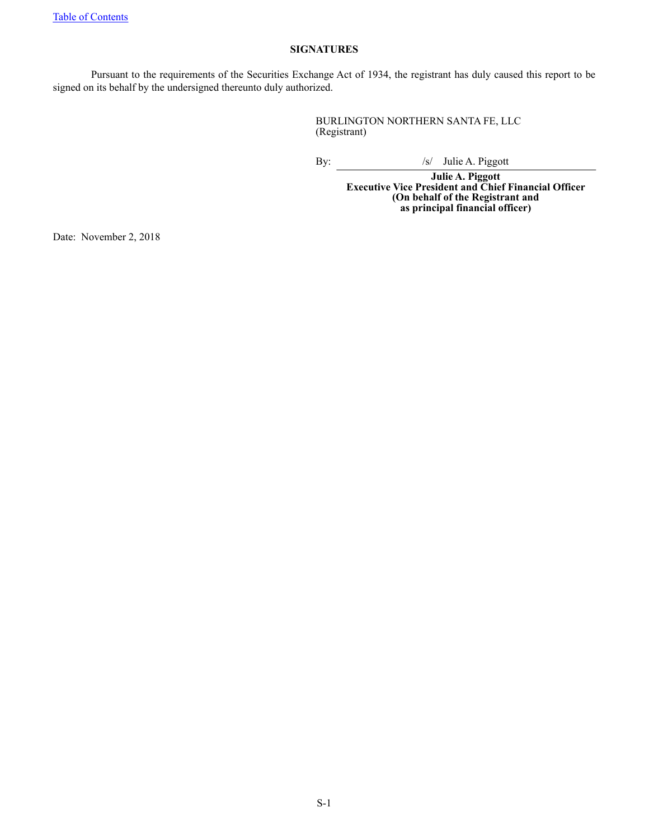# **SIGNATURES**

<span id="page-28-0"></span> Pursuant to the requirements of the Securities Exchange Act of 1934, the registrant has duly caused this report to be signed on its behalf by the undersigned thereunto duly authorized.

> BURLINGTON NORTHERN SANTA FE, LLC (Registrant)

By:  $\frac{1}{s}$  Julie A. Piggott

**Julie A. Piggott Executive Vice President and Chief Financial Officer (On behalf of the Registrant and as principal financial officer)**

Date: November 2, 2018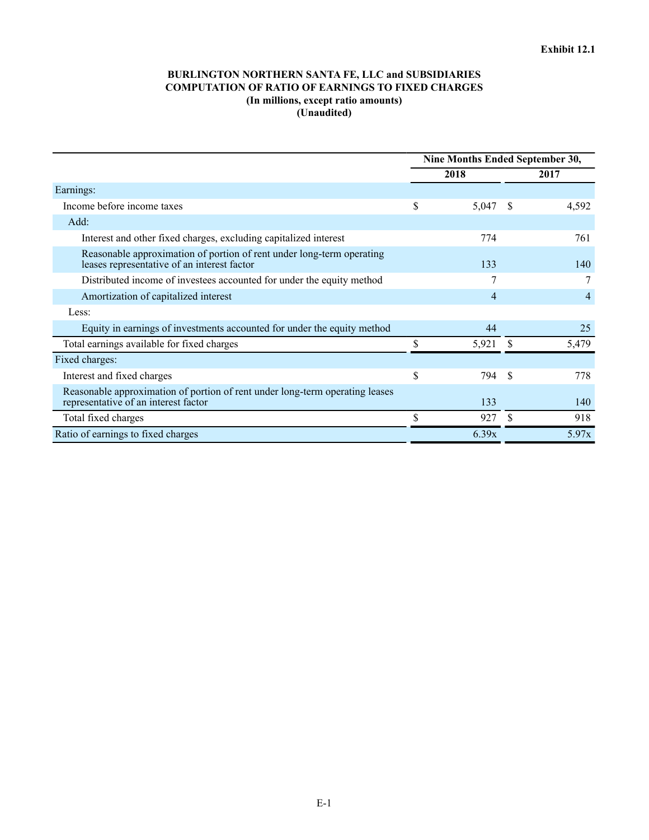# **BURLINGTON NORTHERN SANTA FE, LLC and SUBSIDIARIES COMPUTATION OF RATIO OF EARNINGS TO FIXED CHARGES (In millions, except ratio amounts) (Unaudited)**

<span id="page-29-0"></span>

|                                                                                                                      | Nine Months Ended September 30, |     |       |  |
|----------------------------------------------------------------------------------------------------------------------|---------------------------------|-----|-------|--|
|                                                                                                                      | 2018                            |     | 2017  |  |
| Earnings:                                                                                                            |                                 |     |       |  |
| Income before income taxes                                                                                           | \$<br>5,047                     | \$  | 4,592 |  |
| Add:                                                                                                                 |                                 |     |       |  |
| Interest and other fixed charges, excluding capitalized interest                                                     | 774                             |     | 761   |  |
| Reasonable approximation of portion of rent under long-term operating<br>leases representative of an interest factor | 133                             |     | 140   |  |
| Distributed income of investees accounted for under the equity method                                                | 7                               |     |       |  |
| Amortization of capitalized interest                                                                                 | $\overline{4}$                  |     | 4     |  |
| Less:                                                                                                                |                                 |     |       |  |
| Equity in earnings of investments accounted for under the equity method                                              | 44                              |     | 25    |  |
| Total earnings available for fixed charges                                                                           | \$<br>5,921                     |     | 5,479 |  |
| Fixed charges:                                                                                                       |                                 |     |       |  |
| Interest and fixed charges                                                                                           | \$<br>794                       | \$. | 778   |  |
| Reasonable approximation of portion of rent under long-term operating leases<br>representative of an interest factor | 133                             |     | 140   |  |
| Total fixed charges                                                                                                  | \$<br>927                       | \$. | 918   |  |
| Ratio of earnings to fixed charges                                                                                   | 6.39x                           |     | 5.97x |  |
|                                                                                                                      |                                 |     |       |  |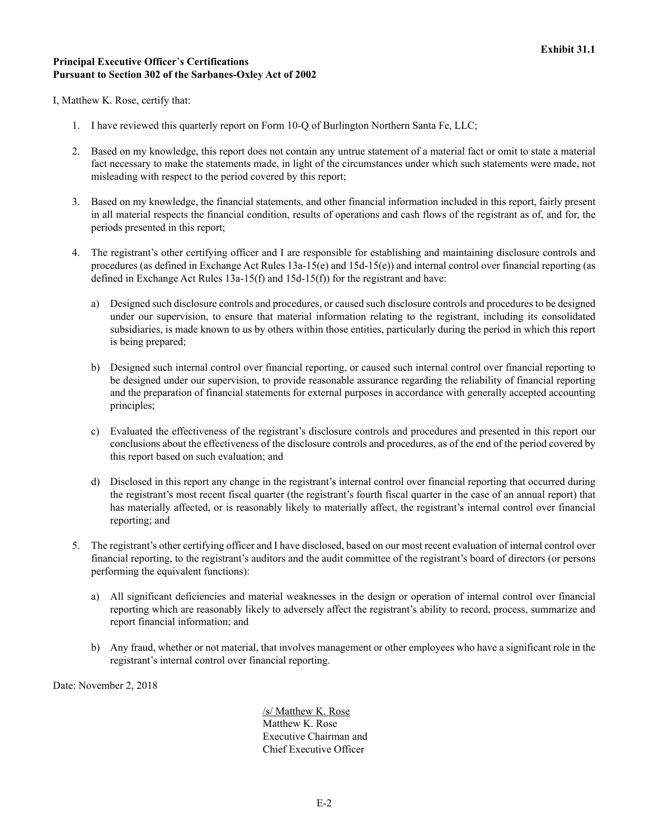## <span id="page-30-0"></span>**Principal Executive Officer**'**s Certifications Pursuant to Section 302 of the Sarbanes-Oxley Act of 2002**

I, Matthew K. Rose, certify that:

- 1. I have reviewed this quarterly report on Form 10-Q of Burlington Northern Santa Fe, LLC;
- 2. Based on my knowledge, this report does not contain any untrue statement of a material fact or omit to state a material fact necessary to make the statements made, in light of the circumstances under which such statements were made, not misleading with respect to the period covered by this report;
- 3. Based on my knowledge, the financial statements, and other financial information included in this report, fairly present in all material respects the financial condition, results of operations and cash flows of the registrant as of, and for, the periods presented in this report;
- 4. The registrant's other certifying officer and I are responsible for establishing and maintaining disclosure controls and procedures (as defined in Exchange Act Rules 13a-15(e) and 15d-15(e)) and internal control over financial reporting (as defined in Exchange Act Rules 13a-15(f) and 15d-15(f)) for the registrant and have:
	- a) Designed such disclosure controls and procedures, or caused such disclosure controls and procedures to be designed under our supervision, to ensure that material information relating to the registrant, including its consolidated subsidiaries, is made known to us by others within those entities, particularly during the period in which this report is being prepared;
	- b) Designed such internal control over financial reporting, or caused such internal control over financial reporting to be designed under our supervision, to provide reasonable assurance regarding the reliability of financial reporting and the preparation of financial statements for external purposes in accordance with generally accepted accounting principles;
	- c) Evaluated the effectiveness of the registrant's disclosure controls and procedures and presented in this report our conclusions about the effectiveness of the disclosure controls and procedures, as of the end of the period covered by this report based on such evaluation; and
	- d) Disclosed in this report any change in the registrant's internal control over financial reporting that occurred during the registrant's most recent fiscal quarter (the registrant's fourth fiscal quarter in the case of an annual report) that has materially affected, or is reasonably likely to materially affect, the registrant's internal control over financial reporting; and
- 5. The registrant's other certifying officer and I have disclosed, based on our most recent evaluation of internal control over financial reporting, to the registrant's auditors and the audit committee of the registrant's board of directors (or persons performing the equivalent functions):
	- a) All significant deficiencies and material weaknesses in the design or operation of internal control over financial reporting which are reasonably likely to adversely affect the registrant's ability to record, process, summarize and report financial information; and
	- b) Any fraud, whether or not material, that involves management or other employees who have a significant role in the registrant's internal control over financial reporting.

Date: November 2, 2018

/s/ Matthew K. Rose Matthew K. Rose Executive Chairman and Chief Executive Officer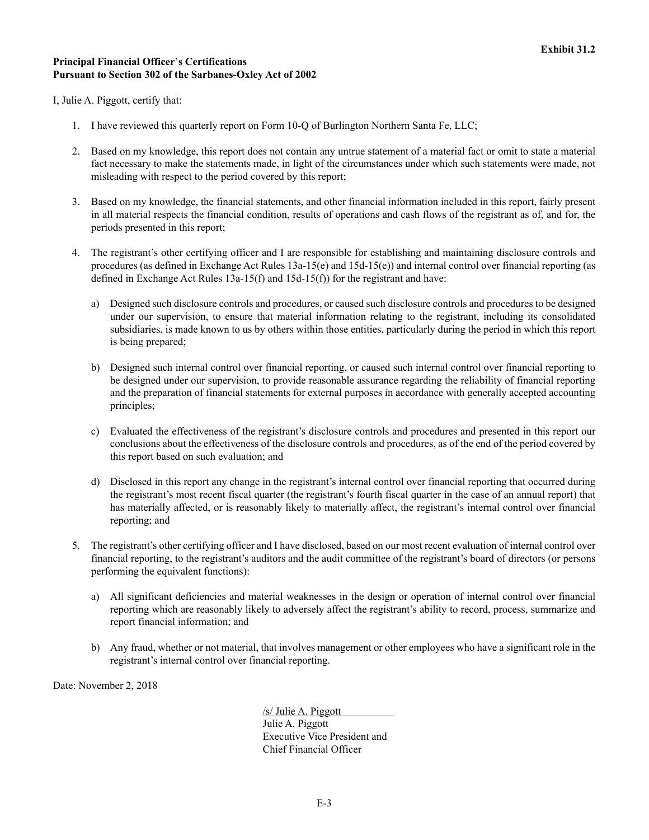## <span id="page-31-0"></span>**Principal Financial Officer**'**s Certifications Pursuant to Section 302 of the Sarbanes-Oxley Act of 2002**

I, Julie A. Piggott, certify that:

- 1. I have reviewed this quarterly report on Form 10-Q of Burlington Northern Santa Fe, LLC;
- 2. Based on my knowledge, this report does not contain any untrue statement of a material fact or omit to state a material fact necessary to make the statements made, in light of the circumstances under which such statements were made, not misleading with respect to the period covered by this report;
- 3. Based on my knowledge, the financial statements, and other financial information included in this report, fairly present in all material respects the financial condition, results of operations and cash flows of the registrant as of, and for, the periods presented in this report;
- 4. The registrant's other certifying officer and I are responsible for establishing and maintaining disclosure controls and procedures (as defined in Exchange Act Rules 13a-15(e) and 15d-15(e)) and internal control over financial reporting (as defined in Exchange Act Rules 13a-15(f) and 15d-15(f)) for the registrant and have:
	- a) Designed such disclosure controls and procedures, or caused such disclosure controls and procedures to be designed under our supervision, to ensure that material information relating to the registrant, including its consolidated subsidiaries, is made known to us by others within those entities, particularly during the period in which this report is being prepared;
	- b) Designed such internal control over financial reporting, or caused such internal control over financial reporting to be designed under our supervision, to provide reasonable assurance regarding the reliability of financial reporting and the preparation of financial statements for external purposes in accordance with generally accepted accounting principles;
	- c) Evaluated the effectiveness of the registrant's disclosure controls and procedures and presented in this report our conclusions about the effectiveness of the disclosure controls and procedures, as of the end of the period covered by this report based on such evaluation; and
	- d) Disclosed in this report any change in the registrant's internal control over financial reporting that occurred during the registrant's most recent fiscal quarter (the registrant's fourth fiscal quarter in the case of an annual report) that has materially affected, or is reasonably likely to materially affect, the registrant's internal control over financial reporting; and
- 5. The registrant's other certifying officer and I have disclosed, based on our most recent evaluation of internal control over financial reporting, to the registrant's auditors and the audit committee of the registrant's board of directors (or persons performing the equivalent functions):
	- a) All significant deficiencies and material weaknesses in the design or operation of internal control over financial reporting which are reasonably likely to adversely affect the registrant's ability to record, process, summarize and report financial information; and
	- b) Any fraud, whether or not material, that involves management or other employees who have a significant role in the registrant's internal control over financial reporting.

Date: November 2, 2018

/s/ Julie A. Piggott Julie A. Piggott Executive Vice President and Chief Financial Officer